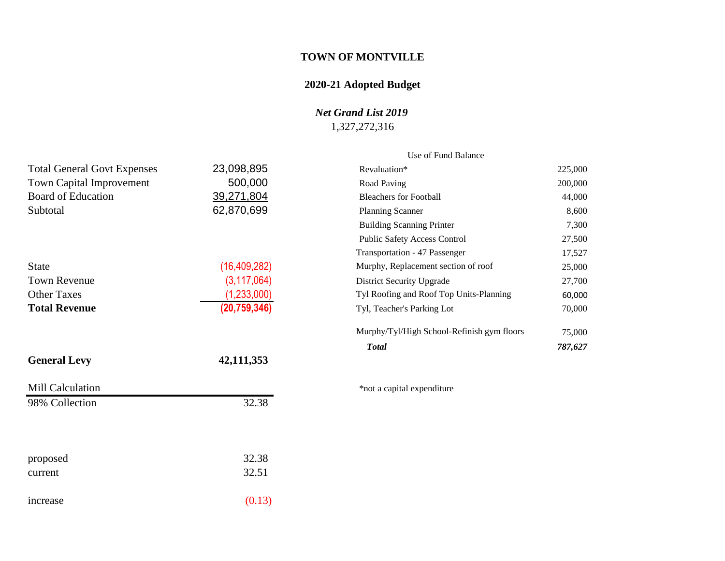# **TOWN OF MONTVILLE**

# **2020-21 Adopted Budget**

## *Net Grand List 2019*

# 1,327,272,316

7,300  $27,500$ 17,527

75,000 *Total 787,627*

|                                    |                | Use of Fund Balance                        |         |
|------------------------------------|----------------|--------------------------------------------|---------|
| <b>Total General Govt Expenses</b> | 23,098,895     | Revaluation*                               | 225,000 |
| Town Capital Improvement           | 500,000        | Road Paving                                | 200,000 |
| <b>Board of Education</b>          | 39,271,804     | <b>Bleachers for Football</b>              | 44,000  |
| Subtotal                           | 62,870,699     | <b>Planning Scanner</b>                    | 8,600   |
|                                    |                | <b>Building Scanning Printer</b>           | 7,300   |
|                                    |                | <b>Public Safety Access Control</b>        | 27,500  |
|                                    |                | Transportation - 47 Passenger              | 17,527  |
| <b>State</b>                       | (16, 409, 282) | Murphy, Replacement section of roof        | 25,000  |
| <b>Town Revenue</b>                | (3, 117, 064)  | <b>District Security Upgrade</b>           | 27,700  |
| <b>Other Taxes</b>                 | (1,233,000)    | Tyl Roofing and Roof Top Units-Planning    | 60,000  |
| <b>Total Revenue</b>               | (20, 759, 346) | Tyl, Teacher's Parking Lot                 | 70,000  |
|                                    |                | Murphy/Tyl/High School-Refinish gym floors | 75,000  |
|                                    |                | <b>Total</b>                               | 787,627 |
| <b>General Levy</b>                | 42,111,353     |                                            |         |
| Mill Calculation                   |                | *not a capital expenditure                 |         |
| 98% Collection                     | 32.38          |                                            |         |
|                                    |                |                                            |         |
| proposed                           | 32.38          |                                            |         |
| current                            | 32.51          |                                            |         |
| increase                           | (0.13)         |                                            |         |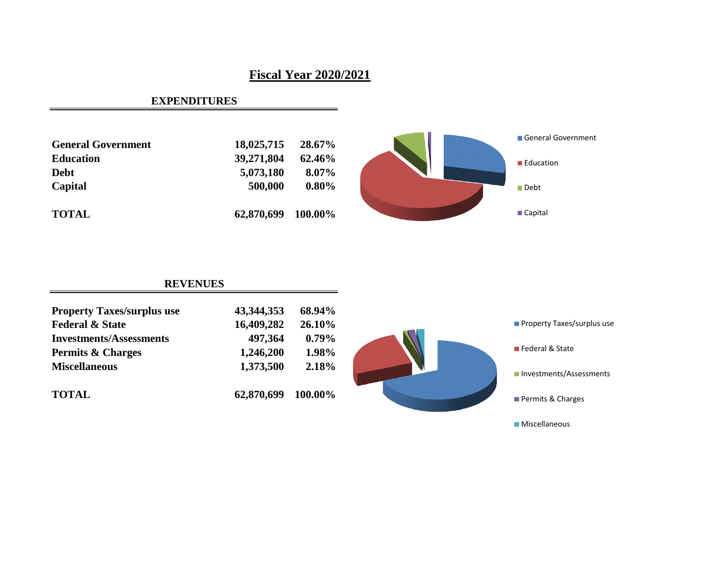# **Fiscal Year 2020/2021**

## **EXPENDITURES**



# **REVENUES**

| <b>Property Taxes/surplus use</b> | 43, 344, 353 | 68.94%   |                                   |
|-----------------------------------|--------------|----------|-----------------------------------|
| <b>Federal &amp; State</b>        | 16,409,282   | 26.10%   | <b>Property Taxes/surplus use</b> |
| <b>Investments/Assessments</b>    | 497,364      | $0.79\%$ |                                   |
| <b>Permits &amp; Charges</b>      | 1,246,200    | 1.98%    | ■ Federal & State                 |
| <b>Miscellaneous</b>              | 1,373,500    | 2.18%    | Investments/Assessments           |
| <b>TOTAL</b>                      | 62,870,699   | 100.00%  | Permits & Charges                 |
|                                   |              |          | <b>Miscellaneous</b>              |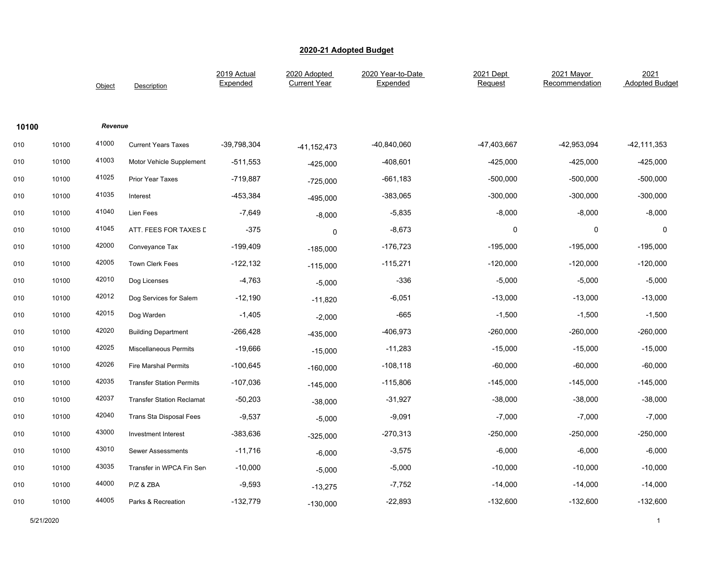|       |       | Object  | Description                      | 2019 Actual<br>Expended | 2020 Adopted<br><b>Current Year</b> | 2020 Year-to-Date<br>Expended | 2021 Dept<br>Request | 2021 Mayor<br>Recommendation | 2021<br><b>Adopted Budget</b> |
|-------|-------|---------|----------------------------------|-------------------------|-------------------------------------|-------------------------------|----------------------|------------------------------|-------------------------------|
| 10100 |       | Revenue |                                  |                         |                                     |                               |                      |                              |                               |
| 010   | 10100 | 41000   | <b>Current Years Taxes</b>       | -39,798,304             | $-41, 152, 473$                     | -40,840,060                   | -47,403,667          | -42,953,094                  | $-42, 111, 353$               |
| 010   | 10100 | 41003   | Motor Vehicle Supplement         | $-511,553$              | $-425,000$                          | -408,601                      | $-425,000$           | -425,000                     | $-425,000$                    |
| 010   | 10100 | 41025   | Prior Year Taxes                 | $-719,887$              | $-725,000$                          | $-661,183$                    | $-500,000$           | $-500,000$                   | $-500,000$                    |
| 010   | 10100 | 41035   | Interest                         | -453,384                | -495,000                            | -383,065                      | $-300,000$           | $-300,000$                   | $-300,000$                    |
| 010   | 10100 | 41040   | Lien Fees                        | $-7,649$                | $-8,000$                            | $-5,835$                      | $-8,000$             | $-8,000$                     | $-8,000$                      |
| 010   | 10100 | 41045   | ATT. FEES FOR TAXES D            | $-375$                  | 0                                   | $-8,673$                      | 0                    | 0                            | 0                             |
| 010   | 10100 | 42000   | Conveyance Tax                   | $-199,409$              | $-185,000$                          | $-176,723$                    | $-195,000$           | $-195,000$                   | $-195,000$                    |
| 010   | 10100 | 42005   | <b>Town Clerk Fees</b>           | $-122,132$              | $-115,000$                          | $-115,271$                    | $-120,000$           | $-120,000$                   | $-120,000$                    |
| 010   | 10100 | 42010   | Dog Licenses                     | $-4,763$                | $-5,000$                            | $-336$                        | $-5,000$             | $-5,000$                     | $-5,000$                      |
| 010   | 10100 | 42012   | Dog Services for Salem           | $-12,190$               | $-11,820$                           | $-6,051$                      | $-13,000$            | $-13,000$                    | $-13,000$                     |
| 010   | 10100 | 42015   | Dog Warden                       | $-1,405$                | $-2,000$                            | $-665$                        | $-1,500$             | $-1,500$                     | $-1,500$                      |
| 010   | 10100 | 42020   | <b>Building Department</b>       | $-266,428$              | $-435,000$                          | -406,973                      | $-260,000$           | $-260,000$                   | -260,000                      |
| 010   | 10100 | 42025   | <b>Miscellaneous Permits</b>     | $-19,666$               | $-15,000$                           | $-11,283$                     | $-15,000$            | $-15,000$                    | $-15,000$                     |
| 010   | 10100 | 42026   | <b>Fire Marshal Permits</b>      | $-100,645$              | $-160,000$                          | $-108,118$                    | $-60,000$            | $-60,000$                    | $-60,000$                     |
| 010   | 10100 | 42035   | <b>Transfer Station Permits</b>  | $-107,036$              | -145,000                            | $-115,806$                    | $-145,000$           | $-145,000$                   | $-145,000$                    |
| 010   | 10100 | 42037   | <b>Transfer Station Reclamat</b> | $-50,203$               | $-38,000$                           | $-31,927$                     | $-38,000$            | $-38,000$                    | $-38,000$                     |
| 010   | 10100 | 42040   | Trans Sta Disposal Fees          | $-9,537$                | $-5,000$                            | $-9,091$                      | $-7,000$             | $-7,000$                     | $-7,000$                      |
| 010   | 10100 | 43000   | Investment Interest              | $-383,636$              | $-325,000$                          | $-270,313$                    | $-250,000$           | $-250,000$                   | $-250,000$                    |
| 010   | 10100 | 43010   | <b>Sewer Assessments</b>         | $-11,716$               | $-6,000$                            | $-3,575$                      | $-6,000$             | $-6,000$                     | $-6,000$                      |
| 010   | 10100 | 43035   | Transfer in WPCA Fin Sen         | $-10,000$               | $-5,000$                            | $-5,000$                      | $-10,000$            | $-10,000$                    | $-10,000$                     |
| 010   | 10100 | 44000   | P/Z & ZBA                        | $-9,593$                | $-13,275$                           | $-7,752$                      | $-14,000$            | $-14,000$                    | $-14,000$                     |
| 010   | 10100 | 44005   | Parks & Recreation               | $-132,779$              | $-130,000$                          | $-22,893$                     | $-132,600$           | $-132,600$                   | $-132,600$                    |

5/21/2020 1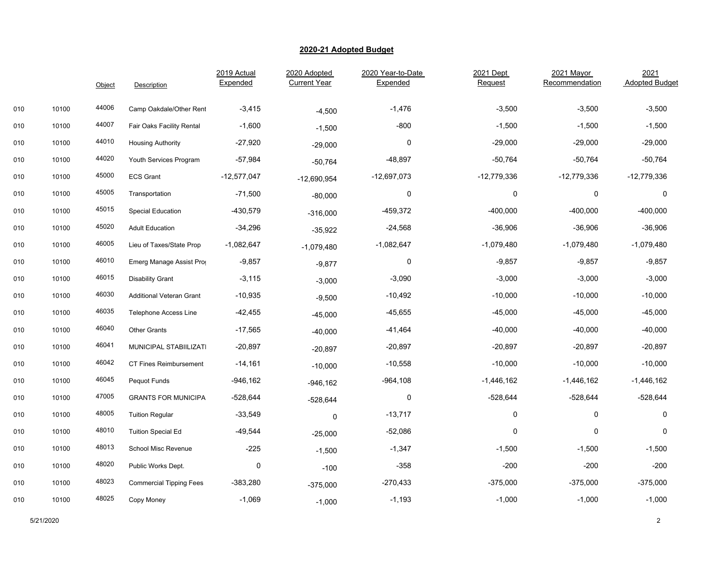|     |       | Object | Description                     | 2019 Actual<br>Expended | 2020 Adopted<br><b>Current Year</b> | 2020 Year-to-Date<br>Expended | 2021 Dept<br>Request | 2021 Mayor<br>Recommendation | 2021<br><b>Adopted Budget</b> |
|-----|-------|--------|---------------------------------|-------------------------|-------------------------------------|-------------------------------|----------------------|------------------------------|-------------------------------|
| 010 | 10100 | 44006  | Camp Oakdale/Other Rent         | $-3,415$                | $-4,500$                            | $-1,476$                      | $-3,500$             | $-3,500$                     | $-3,500$                      |
| 010 | 10100 | 44007  | Fair Oaks Facility Rental       | $-1,600$                | $-1,500$                            | $-800$                        | $-1,500$             | $-1,500$                     | $-1,500$                      |
| 010 | 10100 | 44010  | <b>Housing Authority</b>        | $-27,920$               | $-29,000$                           | 0                             | $-29,000$            | $-29,000$                    | $-29,000$                     |
| 010 | 10100 | 44020  | Youth Services Program          | $-57,984$               | $-50,764$                           | $-48,897$                     | $-50,764$            | $-50,764$                    | $-50,764$                     |
| 010 | 10100 | 45000  | <b>ECS Grant</b>                | $-12,577,047$           | $-12,690,954$                       | $-12,697,073$                 | $-12,779,336$        | $-12,779,336$                | $-12,779,336$                 |
| 010 | 10100 | 45005  | Transportation                  | $-71,500$               | $-80,000$                           | 0                             | $\mathbf 0$          | $\mathbf 0$                  | $\mathbf 0$                   |
| 010 | 10100 | 45015  | <b>Special Education</b>        | $-430,579$              | $-316,000$                          | $-459,372$                    | $-400,000$           | $-400,000$                   | $-400,000$                    |
| 010 | 10100 | 45020  | <b>Adult Education</b>          | $-34,296$               | $-35,922$                           | $-24,568$                     | $-36,906$            | $-36,906$                    | $-36,906$                     |
| 010 | 10100 | 46005  | Lieu of Taxes/State Prop        | $-1,082,647$            | $-1,079,480$                        | $-1,082,647$                  | $-1,079,480$         | $-1,079,480$                 | $-1,079,480$                  |
| 010 | 10100 | 46010  | Emerg Manage Assist Prog        | $-9,857$                | $-9,877$                            | $\pmb{0}$                     | $-9,857$             | $-9,857$                     | $-9,857$                      |
| 010 | 10100 | 46015  | <b>Disability Grant</b>         | $-3,115$                | $-3,000$                            | $-3,090$                      | $-3,000$             | $-3,000$                     | $-3,000$                      |
| 010 | 10100 | 46030  | <b>Additional Veteran Grant</b> | $-10,935$               | $-9,500$                            | $-10,492$                     | $-10,000$            | $-10,000$                    | $-10,000$                     |
| 010 | 10100 | 46035  | Telephone Access Line           | $-42,455$               | $-45,000$                           | -45,655                       | $-45,000$            | $-45,000$                    | $-45,000$                     |
| 010 | 10100 | 46040  | <b>Other Grants</b>             | $-17,565$               | $-40,000$                           | -41,464                       | $-40,000$            | $-40,000$                    | $-40,000$                     |
| 010 | 10100 | 46041  | MUNICIPAL STABIILIZATI          | $-20,897$               | $-20,897$                           | $-20,897$                     | $-20,897$            | $-20,897$                    | $-20,897$                     |
| 010 | 10100 | 46042  | <b>CT Fines Reimbursement</b>   | $-14,161$               | $-10,000$                           | $-10,558$                     | $-10,000$            | $-10,000$                    | $-10,000$                     |
| 010 | 10100 | 46045  | Pequot Funds                    | $-946, 162$             | $-946, 162$                         | -964,108                      | $-1,446,162$         | $-1,446,162$                 | $-1,446,162$                  |
| 010 | 10100 | 47005  | <b>GRANTS FOR MUNICIPA</b>      | $-528,644$              | $-528,644$                          | $\mathbf 0$                   | $-528,644$           | $-528,644$                   | $-528,644$                    |
| 010 | 10100 | 48005  | <b>Tuition Regular</b>          | $-33,549$               | 0                                   | $-13,717$                     | 0                    | $\mathbf 0$                  | 0                             |
| 010 | 10100 | 48010  | <b>Tuition Special Ed</b>       | $-49,544$               | $-25,000$                           | $-52,086$                     | $\pmb{0}$            | $\pmb{0}$                    | 0                             |
| 010 | 10100 | 48013  | School Misc Revenue             | $-225$                  | $-1,500$                            | $-1,347$                      | $-1,500$             | $-1,500$                     | $-1,500$                      |
| 010 | 10100 | 48020  | Public Works Dept.              | $\pmb{0}$               | $-100$                              | $-358$                        | $-200$               | -200                         | $-200$                        |
| 010 | 10100 | 48023  | <b>Commercial Tipping Fees</b>  | $-383,280$              | $-375,000$                          | -270,433                      | $-375,000$           | $-375,000$                   | $-375,000$                    |
| 010 | 10100 | 48025  | Copy Money                      | $-1,069$                | $-1,000$                            | $-1,193$                      | $-1,000$             | $-1,000$                     | $-1,000$                      |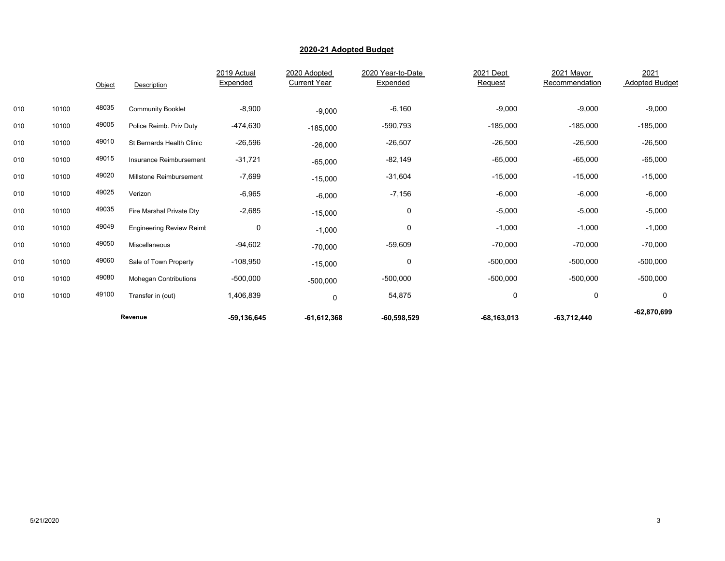|     |       | Object | Description                     | 2019 Actual<br>Expended | 2020 Adopted<br><b>Current Year</b> | 2020 Year-to-Date<br>Expended | 2021 Dept<br>Request | 2021 Mayor<br>Recommendation | 2021<br><b>Adopted Budget</b> |
|-----|-------|--------|---------------------------------|-------------------------|-------------------------------------|-------------------------------|----------------------|------------------------------|-------------------------------|
| 010 | 10100 | 48035  | <b>Community Booklet</b>        | $-8,900$                | $-9,000$                            | $-6,160$                      | $-9,000$             | $-9,000$                     | $-9,000$                      |
| 010 | 10100 | 49005  | Police Reimb. Priv Duty         | -474,630                | $-185,000$                          | $-590,793$                    | $-185,000$           | $-185,000$                   | $-185,000$                    |
| 010 | 10100 | 49010  | St Bernards Health Clinic       | $-26,596$               | $-26,000$                           | $-26,507$                     | $-26,500$            | $-26,500$                    | $-26,500$                     |
| 010 | 10100 | 49015  | Insurance Reimbursement         | $-31,721$               | $-65,000$                           | $-82,149$                     | $-65,000$            | $-65,000$                    | $-65,000$                     |
| 010 | 10100 | 49020  | Millstone Reimbursement         | $-7,699$                | $-15,000$                           | $-31,604$                     | $-15,000$            | $-15,000$                    | $-15,000$                     |
| 010 | 10100 | 49025  | Verizon                         | $-6,965$                | $-6,000$                            | $-7,156$                      | $-6,000$             | $-6,000$                     | $-6,000$                      |
| 010 | 10100 | 49035  | Fire Marshal Private Dty        | $-2,685$                | $-15,000$                           | 0                             | $-5,000$             | $-5,000$                     | $-5,000$                      |
| 010 | 10100 | 49049  | <b>Engineering Review Reimt</b> | 0                       | $-1,000$                            | 0                             | $-1,000$             | $-1,000$                     | $-1,000$                      |
| 010 | 10100 | 49050  | Miscellaneous                   | $-94,602$               | $-70,000$                           | $-59,609$                     | $-70,000$            | $-70,000$                    | $-70,000$                     |
| 010 | 10100 | 49060  | Sale of Town Property           | $-108,950$              | $-15,000$                           | 0                             | $-500,000$           | $-500,000$                   | $-500,000$                    |
| 010 | 10100 | 49080  | <b>Mohegan Contributions</b>    | $-500,000$              | $-500,000$                          | $-500,000$                    | $-500,000$           | $-500,000$                   | $-500,000$                    |
| 010 | 10100 | 49100  | Transfer in (out)               | 1,406,839               | 0                                   | 54,875                        | 0                    | $\mathbf 0$                  | 0                             |
|     |       |        | Revenue                         | $-59, 136, 645$         | $-61,612,368$                       | $-60,598,529$                 | $-68, 163, 013$      | $-63,712,440$                | $-62,870,699$                 |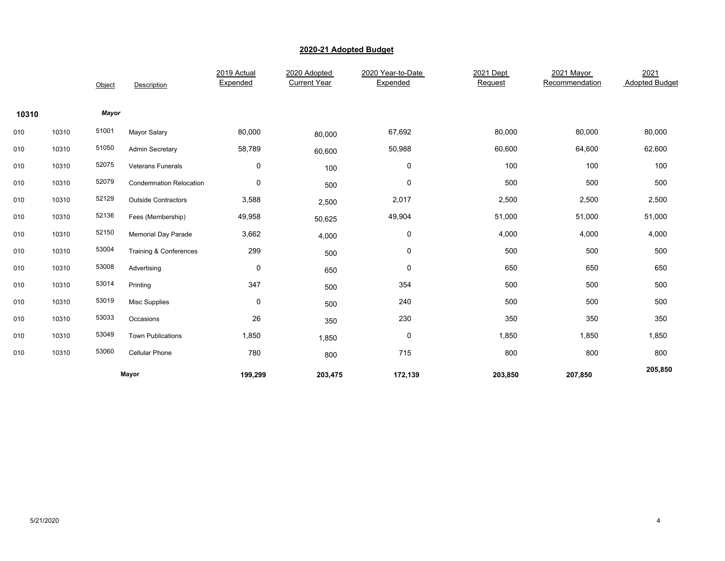|       |       | Object | Description                    | 2019 Actual<br>Expended | 2020 Adopted<br><b>Current Year</b> | 2020 Year-to-Date<br>Expended | 2021 Dept<br>Request | 2021 Mayor<br>Recommendation | 2021<br><b>Adopted Budget</b> |
|-------|-------|--------|--------------------------------|-------------------------|-------------------------------------|-------------------------------|----------------------|------------------------------|-------------------------------|
| 10310 |       | Mayor  |                                |                         |                                     |                               |                      |                              |                               |
| 010   | 10310 | 51001  | <b>Mayor Salary</b>            | 80,000                  | 80,000                              | 67,692                        | 80,000               | 80,000                       | 80,000                        |
| 010   | 10310 | 51050  | <b>Admin Secretary</b>         | 58,789                  | 60,600                              | 50,988                        | 60,600               | 64,600                       | 62,600                        |
| 010   | 10310 | 52075  | Veterans Funerals              | $\pmb{0}$               | 100                                 | 0                             | 100                  | 100                          | 100                           |
| 010   | 10310 | 52079  | <b>Condemnation Relocation</b> | $\pmb{0}$               | 500                                 | $\pmb{0}$                     | 500                  | 500                          | 500                           |
| 010   | 10310 | 52129  | <b>Outside Contractors</b>     | 3,588                   | 2,500                               | 2,017                         | 2,500                | 2,500                        | 2,500                         |
| 010   | 10310 | 52136  | Fees (Membership)              | 49,958                  | 50,625                              | 49,904                        | 51,000               | 51,000                       | 51,000                        |
| 010   | 10310 | 52150  | <b>Memorial Day Parade</b>     | 3,662                   | 4,000                               | 0                             | 4,000                | 4,000                        | 4,000                         |
| 010   | 10310 | 53004  | Training & Conferences         | 299                     | 500                                 | 0                             | 500                  | 500                          | 500                           |
| 010   | 10310 | 53008  | Advertising                    | 0                       | 650                                 | 0                             | 650                  | 650                          | 650                           |
| 010   | 10310 | 53014  | Printing                       | 347                     | 500                                 | 354                           | 500                  | 500                          | 500                           |
| 010   | 10310 | 53019  | <b>Misc Supplies</b>           | 0                       | 500                                 | 240                           | 500                  | 500                          | 500                           |
| 010   | 10310 | 53033  | Occasions                      | 26                      | 350                                 | 230                           | 350                  | 350                          | 350                           |
| 010   | 10310 | 53049  | <b>Town Publications</b>       | 1,850                   | 1,850                               | 0                             | 1,850                | 1,850                        | 1,850                         |
| 010   | 10310 | 53060  | Cellular Phone                 | 780                     | 800                                 | 715                           | 800                  | 800                          | 800                           |
|       |       |        | Mayor                          | 199,299                 | 203,475                             | 172,139                       | 203,850              | 207,850                      | 205,850                       |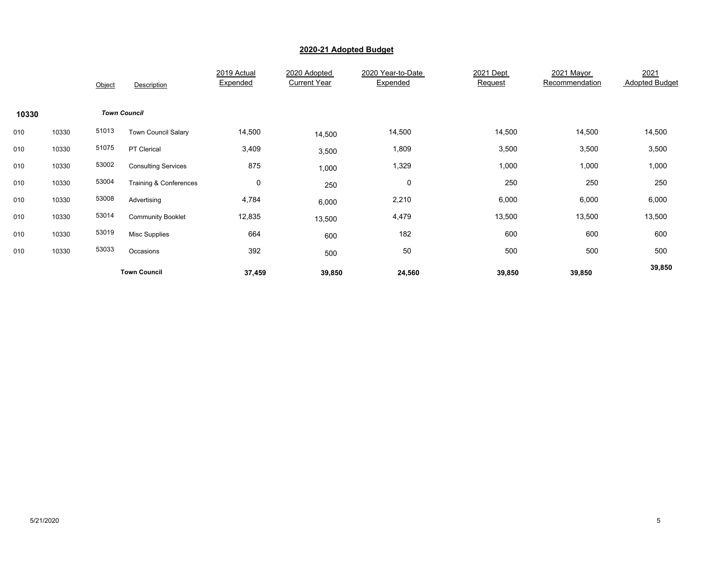|       |       | Object | Description                       | 2019 Actual<br>Expended | 2020 Adopted<br><b>Current Year</b> | 2020 Year-to-Date<br>Expended | 2021 Dept<br>Request | 2021 Mayor<br>Recommendation | 2021<br><b>Adopted Budget</b> |
|-------|-------|--------|-----------------------------------|-------------------------|-------------------------------------|-------------------------------|----------------------|------------------------------|-------------------------------|
| 10330 |       |        | <b>Town Council</b>               |                         |                                     |                               |                      |                              |                               |
| 010   | 10330 | 51013  | <b>Town Council Salary</b>        | 14,500                  | 14,500                              | 14,500                        | 14,500               | 14,500                       | 14,500                        |
| 010   | 10330 | 51075  | PT Clerical                       | 3,409                   | 3,500                               | 1,809                         | 3,500                | 3,500                        | 3,500                         |
| 010   | 10330 | 53002  | <b>Consulting Services</b>        | 875                     | 1,000                               | 1,329                         | 1,000                | 1,000                        | 1,000                         |
| 010   | 10330 | 53004  | <b>Training &amp; Conferences</b> | 0                       | 250                                 | 0                             | 250                  | 250                          | 250                           |
| 010   | 10330 | 53008  | Advertising                       | 4,784                   | 6,000                               | 2,210                         | 6,000                | 6,000                        | 6,000                         |
| 010   | 10330 | 53014  | <b>Community Booklet</b>          | 12,835                  | 13,500                              | 4,479                         | 13,500               | 13,500                       | 13,500                        |
| 010   | 10330 | 53019  | Misc Supplies                     | 664                     | 600                                 | 182                           | 600                  | 600                          | 600                           |
| 010   | 10330 | 53033  | Occasions                         | 392                     | 500                                 | 50                            | 500                  | 500                          | 500                           |
|       |       |        | <b>Town Council</b>               | 37,459                  | 39,850                              | 24,560                        | 39,850               | 39,850                       | 39,850                        |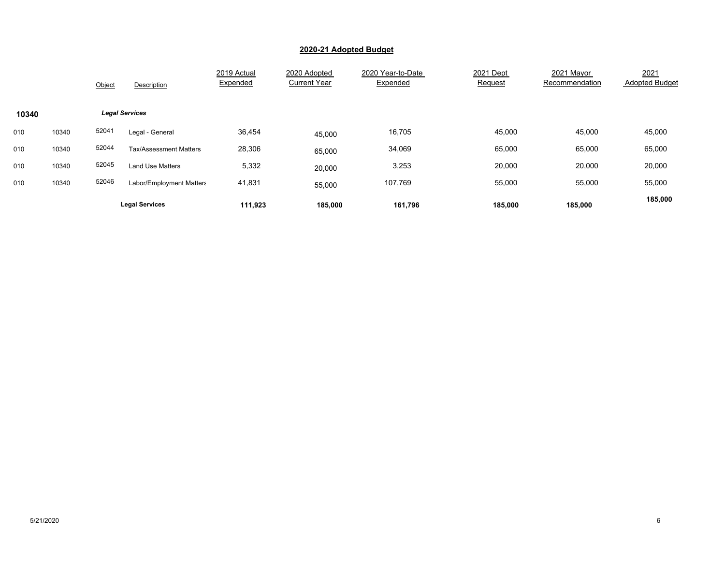|       |       | Object | Description                   | 2019 Actual<br>Expended | 2020 Adopted<br><b>Current Year</b> | 2020 Year-to-Date<br>Expended | 2021 Dept<br>Request | 2021 Mavor<br>Recommendation | 2021<br><b>Adopted Budget</b> |
|-------|-------|--------|-------------------------------|-------------------------|-------------------------------------|-------------------------------|----------------------|------------------------------|-------------------------------|
| 10340 |       |        | <b>Legal Services</b>         |                         |                                     |                               |                      |                              |                               |
| 010   | 10340 | 52041  | Legal - General               | 36,454                  | 45,000                              | 16,705                        | 45,000               | 45,000                       | 45,000                        |
| 010   | 10340 | 52044  | <b>Tax/Assessment Matters</b> | 28,306                  | 65,000                              | 34,069                        | 65,000               | 65,000                       | 65,000                        |
| 010   | 10340 | 52045  | <b>Land Use Matters</b>       | 5,332                   | 20,000                              | 3,253                         | 20,000               | 20,000                       | 20,000                        |
| 010   | 10340 | 52046  | Labor/Employment Matters      | 41,831                  | 55,000                              | 107,769                       | 55,000               | 55,000                       | 55,000                        |
|       |       |        | <b>Legal Services</b>         | 111.923                 | 185,000                             | 161,796                       | 185,000              | 185,000                      | 185,000                       |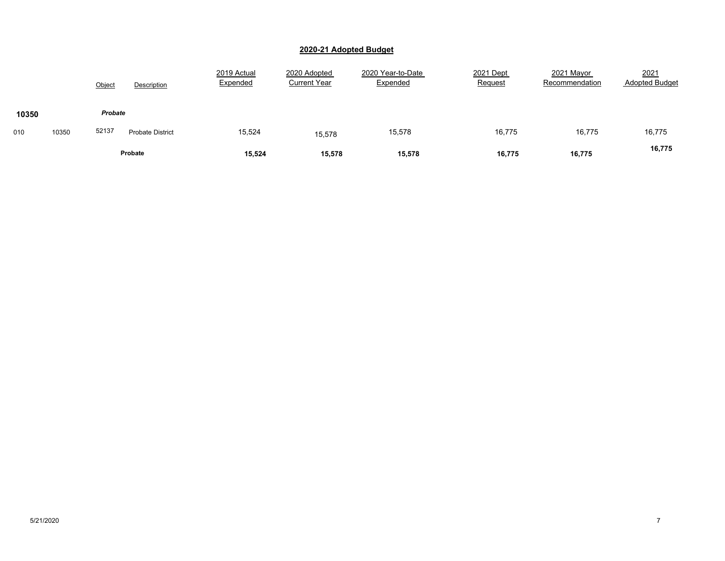|       |       | Object  | Description             | 2019 Actual<br>Expended | 2020 Adopted<br><b>Current Year</b> | 2020 Year-to-Date<br>Expended | 2021 Dept<br>Request | 2021 Mayor<br>Recommendation | 2021<br><b>Adopted Budget</b> |
|-------|-------|---------|-------------------------|-------------------------|-------------------------------------|-------------------------------|----------------------|------------------------------|-------------------------------|
| 10350 |       | Probate |                         |                         |                                     |                               |                      |                              |                               |
| 010   | 10350 | 52137   | <b>Probate District</b> | 15,524                  | 15,578                              | 15,578                        | 16,775               | 16,775                       | 16,775                        |
|       |       |         | Probate                 | 15,524                  | 15,578                              | 15,578                        | 16,775               | 16,775                       | 16,775                        |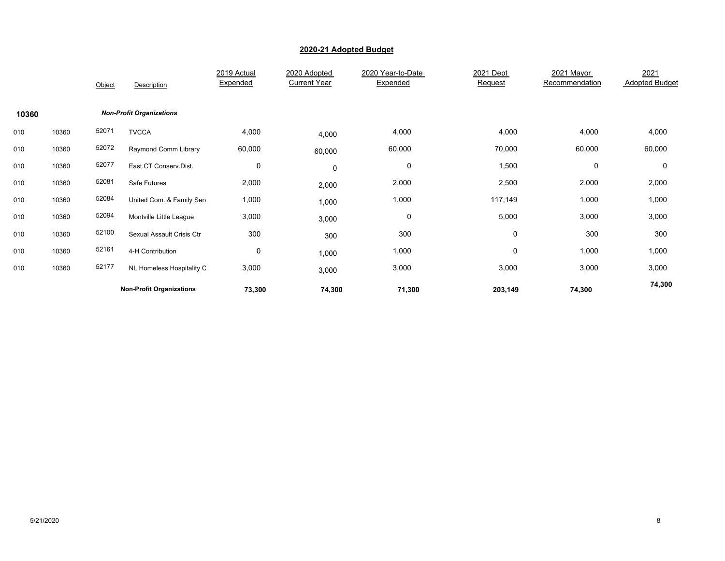|       |       | Object | Description                     | 2019 Actual<br>Expended | 2020 Adopted<br><b>Current Year</b> | 2020 Year-to-Date<br>Expended | 2021 Dept<br>Request | 2021 Mayor<br>Recommendation | 2021<br><b>Adopted Budget</b> |
|-------|-------|--------|---------------------------------|-------------------------|-------------------------------------|-------------------------------|----------------------|------------------------------|-------------------------------|
| 10360 |       |        | <b>Non-Profit Organizations</b> |                         |                                     |                               |                      |                              |                               |
| 010   | 10360 | 52071  | <b>TVCCA</b>                    | 4,000                   | 4,000                               | 4,000                         | 4,000                | 4,000                        | 4,000                         |
| 010   | 10360 | 52072  | Raymond Comm Library            | 60,000                  | 60,000                              | 60,000                        | 70,000               | 60,000                       | 60,000                        |
| 010   | 10360 | 52077  | East.CT Conserv.Dist.           | 0                       | $\pmb{0}$                           | 0                             | 1,500                | 0                            | $\Omega$                      |
| 010   | 10360 | 52081  | Safe Futures                    | 2,000                   | 2,000                               | 2,000                         | 2,500                | 2,000                        | 2,000                         |
| 010   | 10360 | 52084  | United Com. & Family Sen        | 1,000                   | 1,000                               | 1,000                         | 117,149              | 1,000                        | 1,000                         |
| 010   | 10360 | 52094  | Montville Little League         | 3,000                   | 3,000                               | 0                             | 5,000                | 3,000                        | 3,000                         |
| 010   | 10360 | 52100  | Sexual Assault Crisis Ctr       | 300                     | 300                                 | 300                           | 0                    | 300                          | 300                           |
| 010   | 10360 | 52161  | 4-H Contribution                | 0                       | 1,000                               | 1,000                         | 0                    | 1,000                        | 1,000                         |
| 010   | 10360 | 52177  | NL Homeless Hospitality C       | 3,000                   | 3,000                               | 3,000                         | 3,000                | 3,000                        | 3,000                         |
|       |       |        | <b>Non-Profit Organizations</b> | 73,300                  | 74,300                              | 71,300                        | 203,149              | 74,300                       | 74,300                        |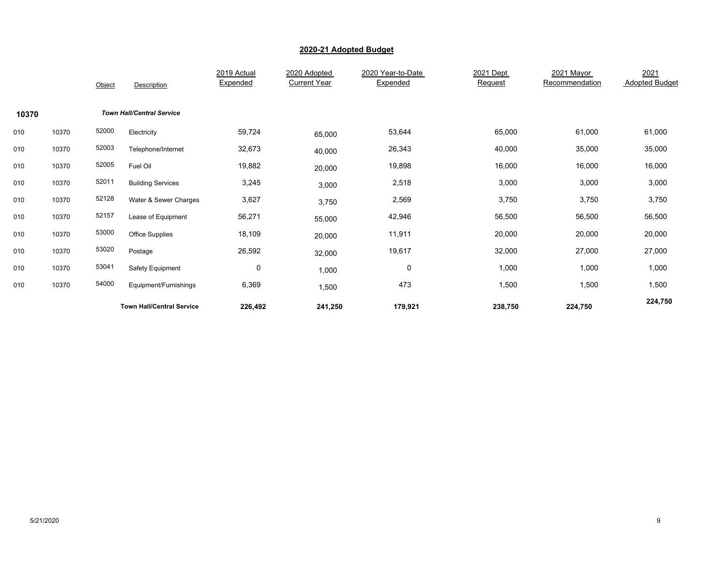|       |       | Object | Description                      | 2019 Actual<br>Expended | 2020 Adopted<br><b>Current Year</b> | 2020 Year-to-Date<br>Expended | 2021 Dept<br>Request | 2021 Mayor<br>Recommendation | 2021<br><b>Adopted Budget</b> |
|-------|-------|--------|----------------------------------|-------------------------|-------------------------------------|-------------------------------|----------------------|------------------------------|-------------------------------|
| 10370 |       |        | <b>Town Hall/Central Service</b> |                         |                                     |                               |                      |                              |                               |
| 010   | 10370 | 52000  | Electricity                      | 59,724                  | 65,000                              | 53,644                        | 65,000               | 61,000                       | 61,000                        |
| 010   | 10370 | 52003  | Telephone/Internet               | 32,673                  | 40,000                              | 26,343                        | 40,000               | 35,000                       | 35,000                        |
| 010   | 10370 | 52005  | Fuel Oil                         | 19,882                  | 20,000                              | 19,898                        | 16,000               | 16,000                       | 16,000                        |
| 010   | 10370 | 52011  | <b>Building Services</b>         | 3,245                   | 3,000                               | 2,518                         | 3,000                | 3,000                        | 3,000                         |
| 010   | 10370 | 52128  | Water & Sewer Charges            | 3,627                   | 3,750                               | 2,569                         | 3,750                | 3,750                        | 3,750                         |
| 010   | 10370 | 52157  | Lease of Equipment               | 56,271                  | 55,000                              | 42,946                        | 56,500               | 56,500                       | 56,500                        |
| 010   | 10370 | 53000  | <b>Office Supplies</b>           | 18,109                  | 20,000                              | 11,911                        | 20,000               | 20,000                       | 20,000                        |
| 010   | 10370 | 53020  | Postage                          | 26,592                  | 32,000                              | 19,617                        | 32,000               | 27,000                       | 27,000                        |
| 010   | 10370 | 53041  | Safety Equipment                 | 0                       | 1,000                               | 0                             | 1,000                | 1,000                        | 1,000                         |
| 010   | 10370 | 54000  | Equipment/Furnishings            | 6,369                   | 1,500                               | 473                           | 1,500                | 1,500                        | 1,500                         |
|       |       |        | <b>Town Hall/Central Service</b> | 226,492                 | 241,250                             | 179,921                       | 238,750              | 224,750                      | 224,750                       |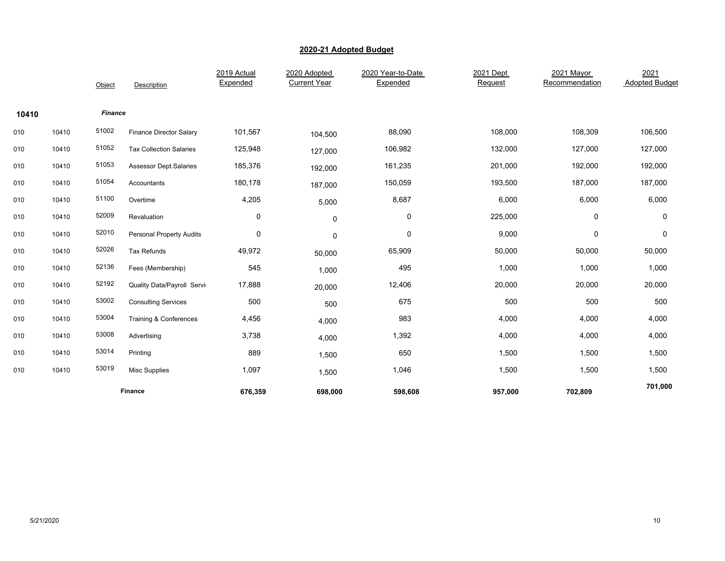|       |       | Object         | Description                     | 2019 Actual<br>Expended | 2020 Adopted<br><b>Current Year</b> | 2020 Year-to-Date<br>Expended | 2021 Dept<br>Request | 2021 Mayor<br>Recommendation | 2021<br><b>Adopted Budget</b> |
|-------|-------|----------------|---------------------------------|-------------------------|-------------------------------------|-------------------------------|----------------------|------------------------------|-------------------------------|
| 10410 |       | <b>Finance</b> |                                 |                         |                                     |                               |                      |                              |                               |
| 010   | 10410 | 51002          | <b>Finance Director Salary</b>  | 101,567                 | 104,500                             | 88,090                        | 108,000              | 108,309                      | 106,500                       |
| 010   | 10410 | 51052          | <b>Tax Collection Salaries</b>  | 125,948                 | 127,000                             | 106,982                       | 132,000              | 127,000                      | 127,000                       |
| 010   | 10410 | 51053          | <b>Assessor Dept.Salaries</b>   | 185,376                 | 192,000                             | 161,235                       | 201,000              | 192,000                      | 192,000                       |
| 010   | 10410 | 51054          | Accountants                     | 180,178                 | 187,000                             | 150,059                       | 193,500              | 187,000                      | 187,000                       |
| 010   | 10410 | 51100          | Overtime                        | 4,205                   | 5,000                               | 8,687                         | 6,000                | 6,000                        | 6,000                         |
| 010   | 10410 | 52009          | Revaluation                     | $\pmb{0}$               | 0                                   | 0                             | 225,000              | $\pmb{0}$                    | 0                             |
| 010   | 10410 | 52010          | <b>Personal Property Audits</b> | $\pmb{0}$               | $\mathbf 0$                         | 0                             | 9,000                | 0                            | 0                             |
| 010   | 10410 | 52026          | Tax Refunds                     | 49,972                  | 50,000                              | 65,909                        | 50,000               | 50,000                       | 50,000                        |
| 010   | 10410 | 52136          | Fees (Membership)               | 545                     | 1,000                               | 495                           | 1,000                | 1,000                        | 1,000                         |
| 010   | 10410 | 52192          | Quality Data/Payroll Servi      | 17,888                  | 20,000                              | 12,406                        | 20,000               | 20,000                       | 20,000                        |
| 010   | 10410 | 53002          | <b>Consulting Services</b>      | 500                     | 500                                 | 675                           | 500                  | 500                          | 500                           |
| 010   | 10410 | 53004          | Training & Conferences          | 4,456                   | 4,000                               | 983                           | 4,000                | 4,000                        | 4,000                         |
| 010   | 10410 | 53008          | Advertising                     | 3,738                   | 4,000                               | 1,392                         | 4,000                | 4,000                        | 4,000                         |
| 010   | 10410 | 53014          | Printing                        | 889                     | 1,500                               | 650                           | 1,500                | 1,500                        | 1,500                         |
| 010   | 10410 | 53019          | <b>Misc Supplies</b>            | 1,097                   | 1,500                               | 1,046                         | 1,500                | 1,500                        | 1,500                         |
|       |       |                | <b>Finance</b>                  | 676,359                 | 698,000                             | 598,608                       | 957,000              | 702,809                      | 701,000                       |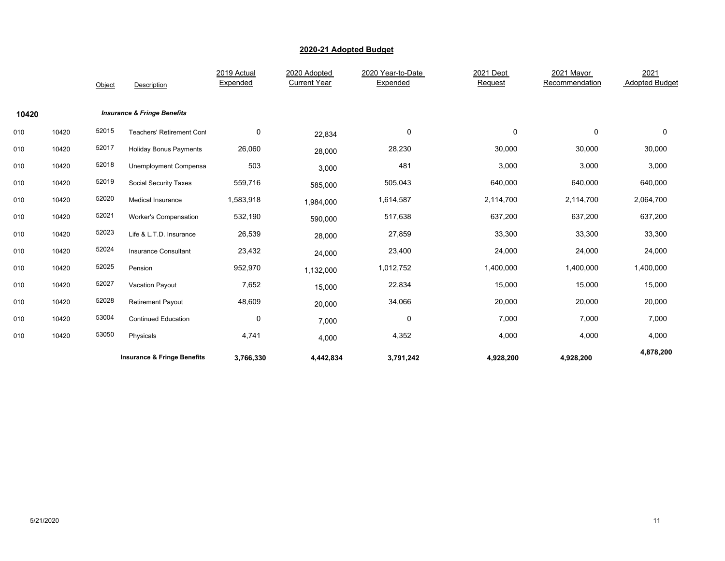|       |       | Object | Description                            | 2019 Actual<br>Expended | 2020 Adopted<br><b>Current Year</b> | 2020 Year-to-Date<br>Expended | 2021 Dept<br>Request | 2021 Mayor<br>Recommendation | 2021<br><b>Adopted Budget</b> |
|-------|-------|--------|----------------------------------------|-------------------------|-------------------------------------|-------------------------------|----------------------|------------------------------|-------------------------------|
| 10420 |       |        | <b>Insurance &amp; Fringe Benefits</b> |                         |                                     |                               |                      |                              |                               |
| 010   | 10420 | 52015  | <b>Teachers' Retirement Cont</b>       | $\mathbf 0$             | 22,834                              | 0                             | 0                    | 0                            | $\mathbf 0$                   |
| 010   | 10420 | 52017  | <b>Holiday Bonus Payments</b>          | 26,060                  | 28,000                              | 28,230                        | 30,000               | 30,000                       | 30,000                        |
| 010   | 10420 | 52018  | Unemployment Compensa                  | 503                     | 3,000                               | 481                           | 3,000                | 3,000                        | 3,000                         |
| 010   | 10420 | 52019  | <b>Social Security Taxes</b>           | 559,716                 | 585,000                             | 505,043                       | 640,000              | 640,000                      | 640,000                       |
| 010   | 10420 | 52020  | Medical Insurance                      | 1,583,918               | 1,984,000                           | 1,614,587                     | 2,114,700            | 2,114,700                    | 2,064,700                     |
| 010   | 10420 | 52021  | Worker's Compensation                  | 532,190                 | 590,000                             | 517,638                       | 637,200              | 637,200                      | 637,200                       |
| 010   | 10420 | 52023  | Life & L.T.D. Insurance                | 26,539                  | 28,000                              | 27,859                        | 33,300               | 33,300                       | 33,300                        |
| 010   | 10420 | 52024  | Insurance Consultant                   | 23,432                  | 24,000                              | 23,400                        | 24,000               | 24,000                       | 24,000                        |
| 010   | 10420 | 52025  | Pension                                | 952,970                 | 1,132,000                           | 1,012,752                     | 1,400,000            | 1,400,000                    | 1,400,000                     |
| 010   | 10420 | 52027  | Vacation Payout                        | 7,652                   | 15,000                              | 22,834                        | 15,000               | 15,000                       | 15,000                        |
| 010   | 10420 | 52028  | Retirement Payout                      | 48,609                  | 20,000                              | 34,066                        | 20,000               | 20,000                       | 20,000                        |
| 010   | 10420 | 53004  | <b>Continued Education</b>             | $\pmb{0}$               | 7,000                               | $\pmb{0}$                     | 7,000                | 7,000                        | 7,000                         |
| 010   | 10420 | 53050  | Physicals                              | 4,741                   | 4,000                               | 4,352                         | 4,000                | 4,000                        | 4,000                         |
|       |       |        | <b>Insurance &amp; Fringe Benefits</b> | 3,766,330               | 4,442,834                           | 3,791,242                     | 4,928,200            | 4,928,200                    | 4,878,200                     |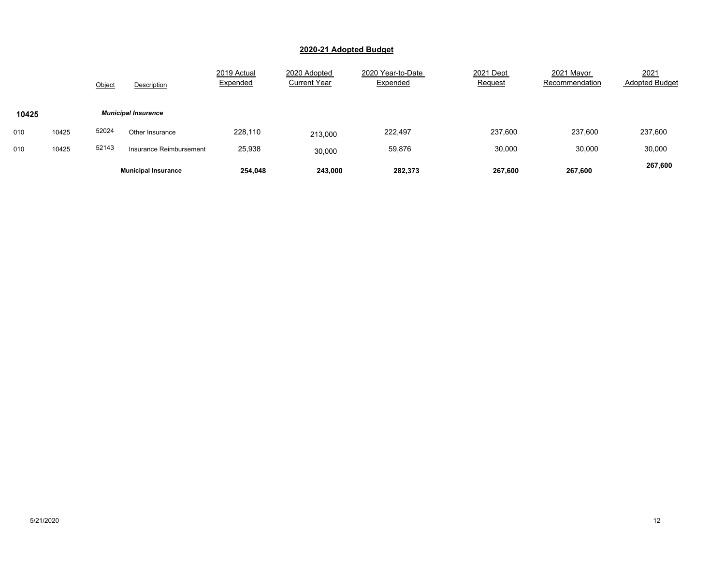|       |       | Object | Description                | 2019 Actual<br>Expended | 2020 Adopted<br><b>Current Year</b> | 2020 Year-to-Date<br>Expended | 2021 Dept<br>Request | 2021 Mayor<br>Recommendation | 2021<br><b>Adopted Budget</b> |
|-------|-------|--------|----------------------------|-------------------------|-------------------------------------|-------------------------------|----------------------|------------------------------|-------------------------------|
| 10425 |       |        | <b>Municipal Insurance</b> |                         |                                     |                               |                      |                              |                               |
| 010   | 10425 | 52024  | Other Insurance            | 228,110                 | 213,000                             | 222,497                       | 237,600              | 237,600                      | 237,600                       |
| 010   | 10425 | 52143  | Insurance Reimbursement    | 25,938                  | 30,000                              | 59,876                        | 30,000               | 30,000                       | 30,000                        |
|       |       |        | <b>Municipal Insurance</b> | 254,048                 | 243.000                             | 282.373                       | 267,600              | 267,600                      | 267,600                       |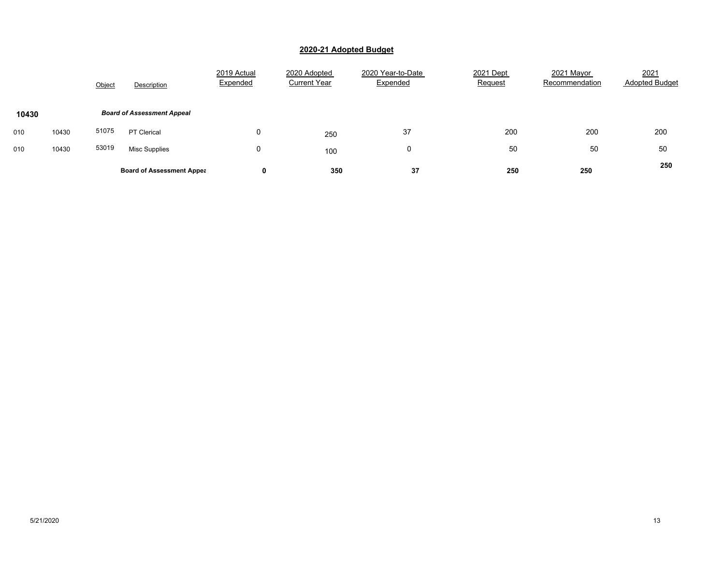|       |       | Object | Description                       | 2019 Actual<br>Expended | 2020 Adopted<br><b>Current Year</b> | 2020 Year-to-Date<br>Expended | 2021 Dept<br><b>Request</b> | 2021 Mayor<br>Recommendation | 2021<br><b>Adopted Budget</b> |
|-------|-------|--------|-----------------------------------|-------------------------|-------------------------------------|-------------------------------|-----------------------------|------------------------------|-------------------------------|
| 10430 |       |        | <b>Board of Assessment Appeal</b> |                         |                                     |                               |                             |                              |                               |
| 010   | 10430 | 51075  | PT Clerical                       | 0                       | 250                                 | 37                            | 200                         | 200                          | 200                           |
| 010   | 10430 | 53019  | <b>Misc Supplies</b>              | 0                       | 100                                 | 0                             | 50                          | 50                           | 50                            |
|       |       |        | <b>Board of Assessment Appea</b>  | 0                       | 350                                 | 37                            | 250                         | 250                          | 250                           |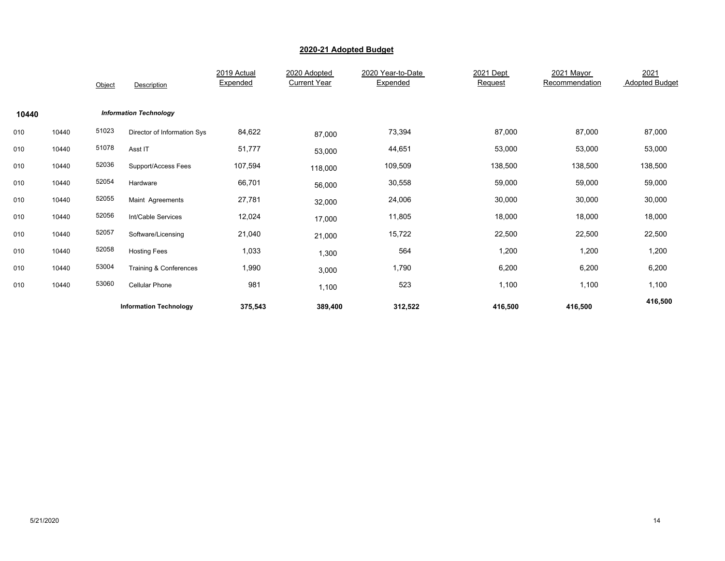|       |       | Object | Description                   | 2019 Actual<br>Expended | 2020 Adopted<br><b>Current Year</b> | 2020 Year-to-Date<br>Expended | 2021 Dept<br>Request | 2021 Mayor<br>Recommendation | 2021<br><b>Adopted Budget</b> |
|-------|-------|--------|-------------------------------|-------------------------|-------------------------------------|-------------------------------|----------------------|------------------------------|-------------------------------|
| 10440 |       |        | <b>Information Technology</b> |                         |                                     |                               |                      |                              |                               |
| 010   | 10440 | 51023  | Director of Information Sys   | 84,622                  | 87,000                              | 73,394                        | 87,000               | 87,000                       | 87,000                        |
| 010   | 10440 | 51078  | Asst IT                       | 51,777                  | 53,000                              | 44,651                        | 53,000               | 53,000                       | 53,000                        |
| 010   | 10440 | 52036  | Support/Access Fees           | 107,594                 | 118,000                             | 109,509                       | 138,500              | 138,500                      | 138,500                       |
| 010   | 10440 | 52054  | Hardware                      | 66,701                  | 56,000                              | 30,558                        | 59,000               | 59,000                       | 59,000                        |
| 010   | 10440 | 52055  | Maint Agreements              | 27,781                  | 32,000                              | 24,006                        | 30,000               | 30,000                       | 30,000                        |
| 010   | 10440 | 52056  | Int/Cable Services            | 12,024                  | 17,000                              | 11,805                        | 18,000               | 18,000                       | 18,000                        |
| 010   | 10440 | 52057  | Software/Licensing            | 21,040                  | 21,000                              | 15,722                        | 22,500               | 22,500                       | 22,500                        |
| 010   | 10440 | 52058  | <b>Hosting Fees</b>           | 1,033                   | 1,300                               | 564                           | 1,200                | 1,200                        | 1,200                         |
| 010   | 10440 | 53004  | Training & Conferences        | 1,990                   | 3,000                               | 1,790                         | 6,200                | 6,200                        | 6,200                         |
| 010   | 10440 | 53060  | <b>Cellular Phone</b>         | 981                     | 1,100                               | 523                           | 1,100                | 1,100                        | 1,100                         |
|       |       |        | <b>Information Technology</b> | 375,543                 | 389,400                             | 312,522                       | 416,500              | 416,500                      | 416,500                       |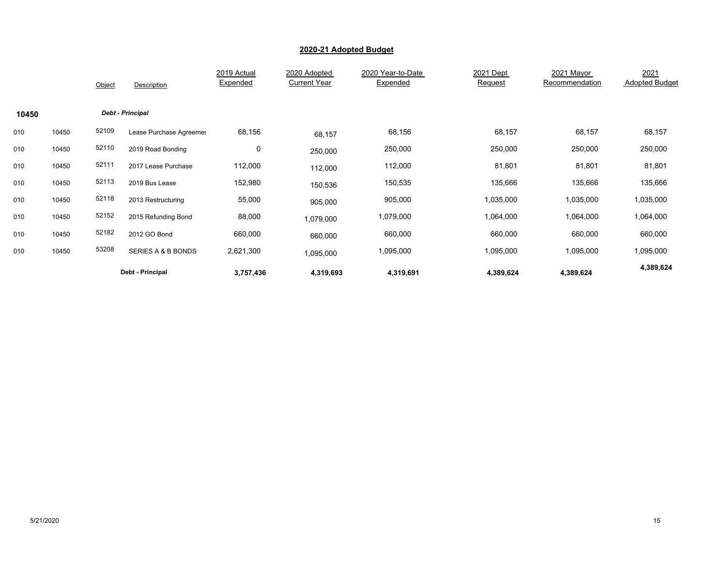|       |       | Object | Description             | 2019 Actual<br>Expended | 2020 Adopted<br><b>Current Year</b> | 2020 Year-to-Date<br>Expended | 2021 Dept<br>Request | 2021 Mayor<br>Recommendation | 2021<br><b>Adopted Budget</b> |
|-------|-------|--------|-------------------------|-------------------------|-------------------------------------|-------------------------------|----------------------|------------------------------|-------------------------------|
| 10450 |       |        | <b>Debt - Principal</b> |                         |                                     |                               |                      |                              |                               |
| 010   | 10450 | 52109  | Lease Purchase Agreemer | 68,156                  | 68,157                              | 68,156                        | 68,157               | 68,157                       | 68,157                        |
| 010   | 10450 | 52110  | 2019 Road Bonding       | $\mathbf 0$             | 250,000                             | 250,000                       | 250,000              | 250,000                      | 250,000                       |
| 010   | 10450 | 52111  | 2017 Lease Purchase     | 112,000                 | 112,000                             | 112,000                       | 81,801               | 81,801                       | 81,801                        |
| 010   | 10450 | 52113  | 2019 Bus Lease          | 152,980                 | 150,536                             | 150,535                       | 135,666              | 135,666                      | 135,666                       |
| 010   | 10450 | 52118  | 2013 Restructuring      | 55,000                  | 905,000                             | 905,000                       | 1,035,000            | 1,035,000                    | 1,035,000                     |
| 010   | 10450 | 52152  | 2015 Refunding Bond     | 88,000                  | 1,079,000                           | 1,079,000                     | 1,064,000            | 1,064,000                    | 1,064,000                     |
| 010   | 10450 | 52182  | 2012 GO Bond            | 660,000                 | 660,000                             | 660,000                       | 660,000              | 660,000                      | 660,000                       |
| 010   | 10450 | 53208  | SERIES A & B BONDS      | 2,621,300               | 1,095,000                           | 1,095,000                     | 1,095,000            | 1,095,000                    | 1,095,000                     |
|       |       |        | Debt - Principal        | 3,757,436               | 4,319,693                           | 4,319,691                     | 4,389,624            | 4,389,624                    | 4,389,624                     |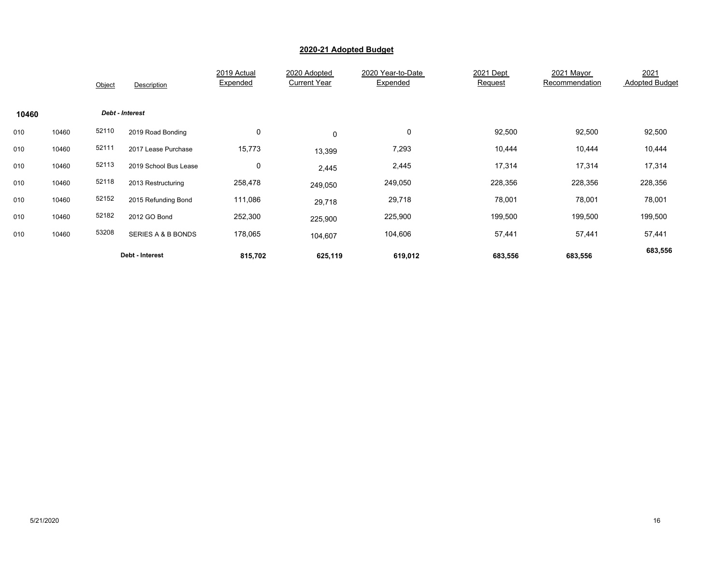|       |       | Object | Description           | 2019 Actual<br>Expended | 2020 Adopted<br><b>Current Year</b> | 2020 Year-to-Date<br>Expended | 2021 Dept<br>Request | 2021 Mayor<br>Recommendation | 2021<br><b>Adopted Budget</b> |
|-------|-------|--------|-----------------------|-------------------------|-------------------------------------|-------------------------------|----------------------|------------------------------|-------------------------------|
| 10460 |       |        | Debt - Interest       |                         |                                     |                               |                      |                              |                               |
| 010   | 10460 | 52110  | 2019 Road Bonding     | $\mathbf 0$             | 0                                   | 0                             | 92,500               | 92,500                       | 92,500                        |
| 010   | 10460 | 52111  | 2017 Lease Purchase   | 15,773                  | 13,399                              | 7,293                         | 10,444               | 10,444                       | 10,444                        |
| 010   | 10460 | 52113  | 2019 School Bus Lease | 0                       | 2,445                               | 2,445                         | 17,314               | 17,314                       | 17,314                        |
| 010   | 10460 | 52118  | 2013 Restructuring    | 258,478                 | 249,050                             | 249,050                       | 228,356              | 228,356                      | 228,356                       |
| 010   | 10460 | 52152  | 2015 Refunding Bond   | 111,086                 | 29,718                              | 29,718                        | 78,001               | 78,001                       | 78,001                        |
| 010   | 10460 | 52182  | 2012 GO Bond          | 252,300                 | 225,900                             | 225,900                       | 199,500              | 199,500                      | 199,500                       |
| 010   | 10460 | 53208  | SERIES A & B BONDS    | 178,065                 | 104,607                             | 104,606                       | 57,441               | 57,441                       | 57,441                        |
|       |       |        | Debt - Interest       | 815,702                 | 625,119                             | 619,012                       | 683,556              | 683,556                      | 683,556                       |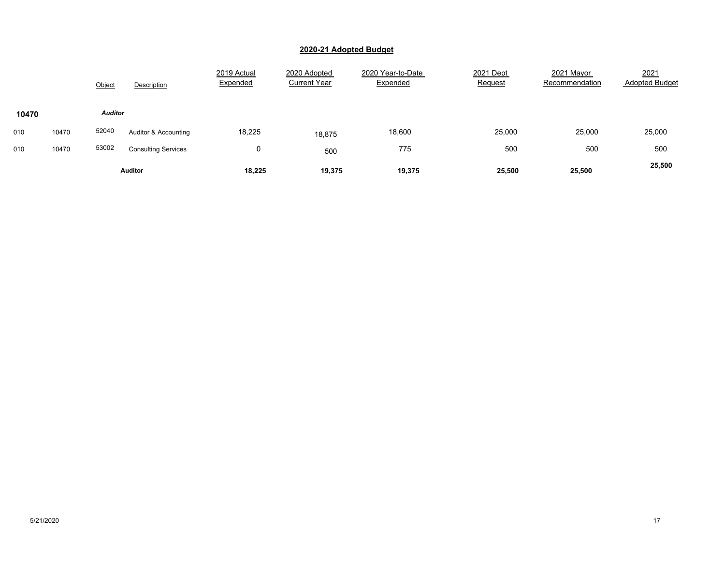|       |       | Object         | Description                | 2019 Actual<br>Expended | 2020 Adopted<br><b>Current Year</b> | 2020 Year-to-Date<br>Expended | 2021 Dept<br>Request | 2021 Mayor<br>Recommendation | 2021<br><b>Adopted Budget</b> |
|-------|-------|----------------|----------------------------|-------------------------|-------------------------------------|-------------------------------|----------------------|------------------------------|-------------------------------|
| 10470 |       | <b>Auditor</b> |                            |                         |                                     |                               |                      |                              |                               |
| 010   | 10470 | 52040          | Auditor & Accounting       | 18,225                  | 18,875                              | 18,600                        | 25,000               | 25,000                       | 25,000                        |
| 010   | 10470 | 53002          | <b>Consulting Services</b> | 0                       | 500                                 | 775                           | 500                  | 500                          | 500                           |
|       |       |                | <b>Auditor</b>             | 18,225                  | 19,375                              | 19,375                        | 25,500               | 25,500                       | 25,500                        |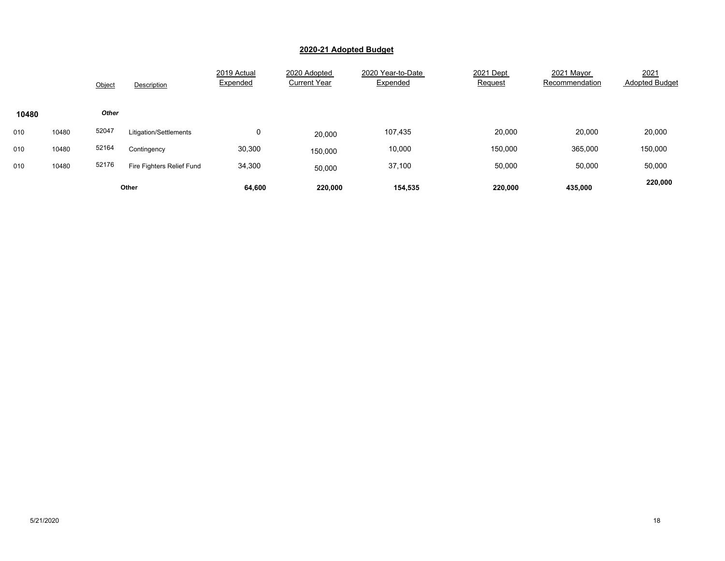|       |       | Object | Description               | 2019 Actual<br>Expended | 2020 Adopted<br><b>Current Year</b> | 2020 Year-to-Date<br>Expended | 2021 Dept<br>Request | 2021 Mayor<br>Recommendation | 2021<br><b>Adopted Budget</b> |
|-------|-------|--------|---------------------------|-------------------------|-------------------------------------|-------------------------------|----------------------|------------------------------|-------------------------------|
| 10480 |       | Other  |                           |                         |                                     |                               |                      |                              |                               |
| 010   | 10480 | 52047  | Litigation/Settlements    | 0                       | 20,000                              | 107,435                       | 20,000               | 20,000                       | 20,000                        |
| 010   | 10480 | 52164  | Contingency               | 30,300                  | 150,000                             | 10,000                        | 150,000              | 365,000                      | 150,000                       |
| 010   | 10480 | 52176  | Fire Fighters Relief Fund | 34,300                  | 50,000                              | 37,100                        | 50,000               | 50,000                       | 50,000                        |
|       |       |        | Other                     | 64,600                  | 220,000                             | 154,535                       | 220,000              | 435,000                      | 220,000                       |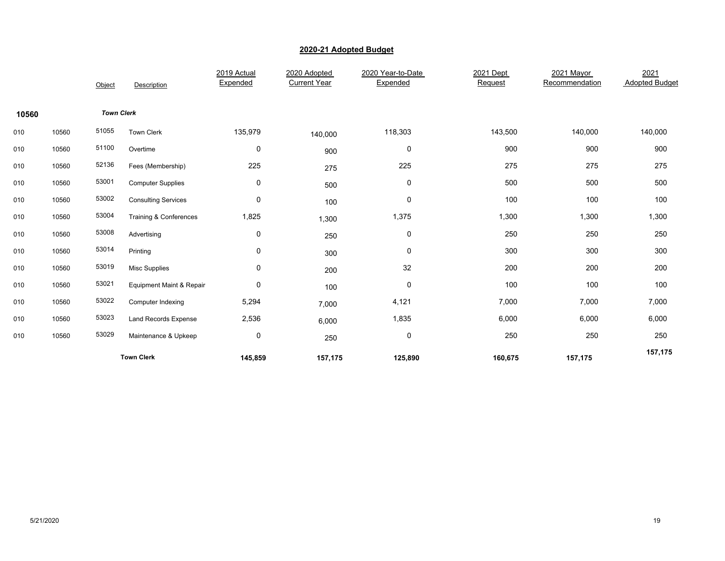|       |       | Object            | Description                 | 2019 Actual<br>Expended | 2020 Adopted<br><b>Current Year</b> | 2020 Year-to-Date<br>Expended | 2021 Dept<br>Request | 2021 Mayor<br>Recommendation | 2021<br><b>Adopted Budget</b> |
|-------|-------|-------------------|-----------------------------|-------------------------|-------------------------------------|-------------------------------|----------------------|------------------------------|-------------------------------|
| 10560 |       | <b>Town Clerk</b> |                             |                         |                                     |                               |                      |                              |                               |
| 010   | 10560 | 51055             | <b>Town Clerk</b>           | 135,979                 | 140,000                             | 118,303                       | 143,500              | 140,000                      | 140,000                       |
| 010   | 10560 | 51100             | Overtime                    | 0                       | 900                                 | 0                             | 900                  | 900                          | 900                           |
| 010   | 10560 | 52136             | Fees (Membership)           | 225                     | 275                                 | 225                           | 275                  | 275                          | 275                           |
| 010   | 10560 | 53001             | <b>Computer Supplies</b>    | $\mathbf 0$             | 500                                 | 0                             | 500                  | 500                          | 500                           |
| 010   | 10560 | 53002             | <b>Consulting Services</b>  | $\pmb{0}$               | 100                                 | 0                             | 100                  | 100                          | 100                           |
| 010   | 10560 | 53004             | Training & Conferences      | 1,825                   | 1,300                               | 1,375                         | 1,300                | 1,300                        | 1,300                         |
| 010   | 10560 | 53008             | Advertising                 | 0                       | 250                                 | 0                             | 250                  | 250                          | 250                           |
| 010   | 10560 | 53014             | Printing                    | 0                       | 300                                 | 0                             | 300                  | 300                          | 300                           |
| 010   | 10560 | 53019             | <b>Misc Supplies</b>        | $\mathbf 0$             | 200                                 | 32                            | 200                  | 200                          | 200                           |
| 010   | 10560 | 53021             | Equipment Maint & Repair    | $\mathbf 0$             | 100                                 | 0                             | 100                  | 100                          | 100                           |
| 010   | 10560 | 53022             | Computer Indexing           | 5,294                   | 7,000                               | 4,121                         | 7,000                | 7,000                        | 7,000                         |
| 010   | 10560 | 53023             | <b>Land Records Expense</b> | 2,536                   | 6,000                               | 1,835                         | 6,000                | 6,000                        | 6,000                         |
| 010   | 10560 | 53029             | Maintenance & Upkeep        | $\mathbf 0$             | 250                                 | 0                             | 250                  | 250                          | 250                           |
|       |       |                   | <b>Town Clerk</b>           | 145,859                 | 157,175                             | 125,890                       | 160,675              | 157,175                      | 157,175                       |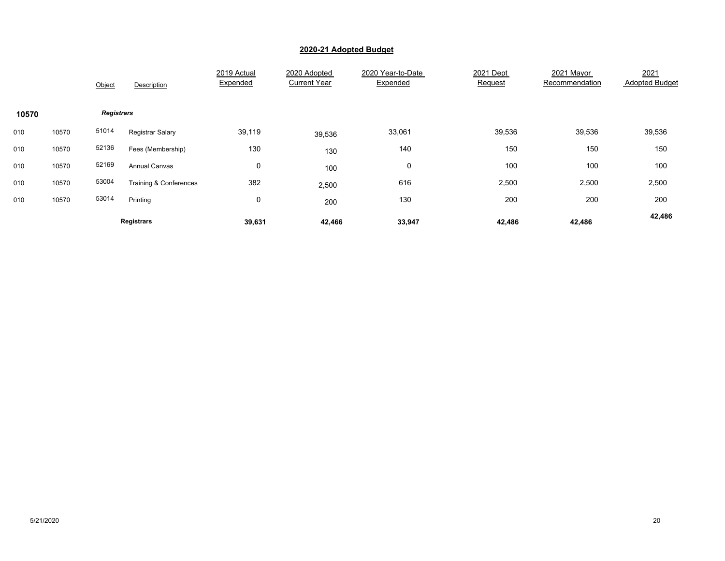|       |       | Object            | Description             | 2019 Actual<br>Expended | 2020 Adopted<br><b>Current Year</b> | 2020 Year-to-Date<br>Expended | 2021 Dept<br>Request | 2021 Mayor<br>Recommendation | 2021<br><b>Adopted Budget</b> |
|-------|-------|-------------------|-------------------------|-------------------------|-------------------------------------|-------------------------------|----------------------|------------------------------|-------------------------------|
| 10570 |       | <b>Registrars</b> |                         |                         |                                     |                               |                      |                              |                               |
| 010   | 10570 | 51014             | <b>Registrar Salary</b> | 39,119                  | 39,536                              | 33,061                        | 39,536               | 39,536                       | 39,536                        |
| 010   | 10570 | 52136             | Fees (Membership)       | 130                     | 130                                 | 140                           | 150                  | 150                          | 150                           |
| 010   | 10570 | 52169             | <b>Annual Canvas</b>    | $\mathbf 0$             | 100                                 | 0                             | 100                  | 100                          | 100                           |
| 010   | 10570 | 53004             | Training & Conferences  | 382                     | 2,500                               | 616                           | 2,500                | 2,500                        | 2,500                         |
| 010   | 10570 | 53014             | Printing                | $\mathbf 0$             | 200                                 | 130                           | 200                  | 200                          | 200                           |
|       |       |                   | Registrars              | 39,631                  | 42,466                              | 33,947                        | 42,486               | 42,486                       | 42,486                        |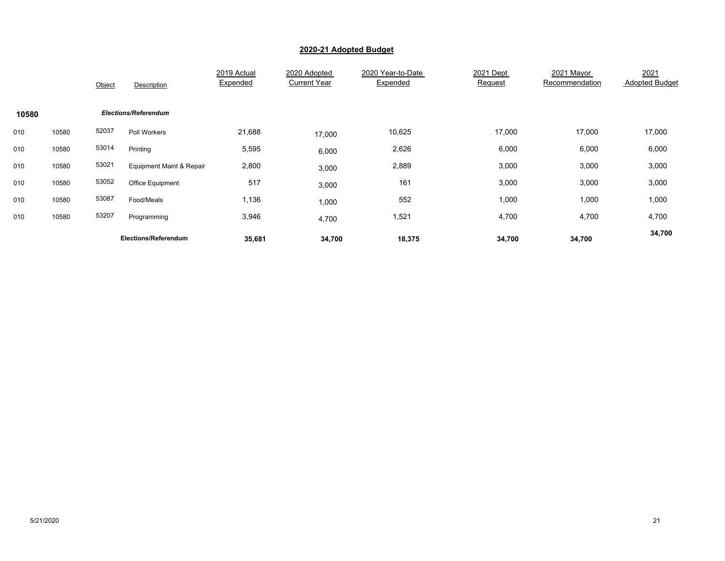|       |       | Object | Description              | 2019 Actual<br>Expended | 2020 Adopted<br><b>Current Year</b> | 2020 Year-to-Date<br>Expended | 2021 Dept<br>Request | 2021 Mayor<br>Recommendation | 2021<br><b>Adopted Budget</b> |
|-------|-------|--------|--------------------------|-------------------------|-------------------------------------|-------------------------------|----------------------|------------------------------|-------------------------------|
| 10580 |       |        | Elections/Referendum     |                         |                                     |                               |                      |                              |                               |
| 010   | 10580 | 52037  | Poll Workers             | 21,688                  | 17,000                              | 10,625                        | 17,000               | 17,000                       | 17,000                        |
| 010   | 10580 | 53014  | Printing                 | 5,595                   | 6,000                               | 2,626                         | 6,000                | 6,000                        | 6,000                         |
| 010   | 10580 | 53021  | Equipment Maint & Repair | 2,800                   | 3,000                               | 2,889                         | 3,000                | 3,000                        | 3,000                         |
| 010   | 10580 | 53052  | <b>Office Equipment</b>  | 517                     | 3,000                               | 161                           | 3,000                | 3,000                        | 3,000                         |
| 010   | 10580 | 53087  | Food/Meals               | 1,136                   | 1,000                               | 552                           | 1,000                | 1,000                        | 1,000                         |
| 010   | 10580 | 53207  | Programming              | 3,946                   | 4,700                               | 1,521                         | 4,700                | 4,700                        | 4,700                         |
|       |       |        | Elections/Referendum     | 35,681                  | 34,700                              | 18,375                        | 34,700               | 34,700                       | 34,700                        |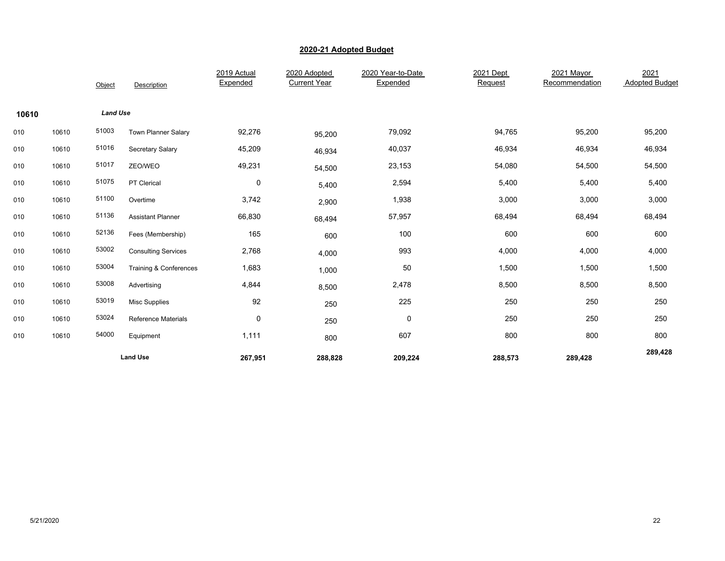|       |       | Object          | Description                | 2019 Actual<br>Expended | 2020 Adopted<br><b>Current Year</b> | 2020 Year-to-Date<br>Expended | 2021 Dept<br>Request | 2021 Mayor<br>Recommendation | 2021<br><b>Adopted Budget</b> |
|-------|-------|-----------------|----------------------------|-------------------------|-------------------------------------|-------------------------------|----------------------|------------------------------|-------------------------------|
| 10610 |       | <b>Land Use</b> |                            |                         |                                     |                               |                      |                              |                               |
| 010   | 10610 | 51003           | Town Planner Salary        | 92,276                  | 95,200                              | 79,092                        | 94,765               | 95,200                       | 95,200                        |
| 010   | 10610 | 51016           | Secretary Salary           | 45,209                  | 46,934                              | 40,037                        | 46,934               | 46,934                       | 46,934                        |
| 010   | 10610 | 51017           | ZEO/WEO                    | 49,231                  | 54,500                              | 23,153                        | 54,080               | 54,500                       | 54,500                        |
| 010   | 10610 | 51075           | PT Clerical                | 0                       | 5,400                               | 2,594                         | 5,400                | 5,400                        | 5,400                         |
| 010   | 10610 | 51100           | Overtime                   | 3,742                   | 2,900                               | 1,938                         | 3,000                | 3,000                        | 3,000                         |
| 010   | 10610 | 51136           | <b>Assistant Planner</b>   | 66,830                  | 68,494                              | 57,957                        | 68,494               | 68,494                       | 68,494                        |
| 010   | 10610 | 52136           | Fees (Membership)          | 165                     | 600                                 | 100                           | 600                  | 600                          | 600                           |
| 010   | 10610 | 53002           | <b>Consulting Services</b> | 2,768                   | 4,000                               | 993                           | 4,000                | 4,000                        | 4,000                         |
| 010   | 10610 | 53004           | Training & Conferences     | 1,683                   | 1,000                               | 50                            | 1,500                | 1,500                        | 1,500                         |
| 010   | 10610 | 53008           | Advertising                | 4,844                   | 8,500                               | 2,478                         | 8,500                | 8,500                        | 8,500                         |
| 010   | 10610 | 53019           | <b>Misc Supplies</b>       | 92                      | 250                                 | 225                           | 250                  | 250                          | 250                           |
| 010   | 10610 | 53024           | <b>Reference Materials</b> | $\mathbf 0$             | 250                                 | $\pmb{0}$                     | 250                  | 250                          | 250                           |
| 010   | 10610 | 54000           | Equipment                  | 1,111                   | 800                                 | 607                           | 800                  | 800                          | 800                           |
|       |       |                 | <b>Land Use</b>            | 267,951                 | 288,828                             | 209,224                       | 288,573              | 289,428                      | 289,428                       |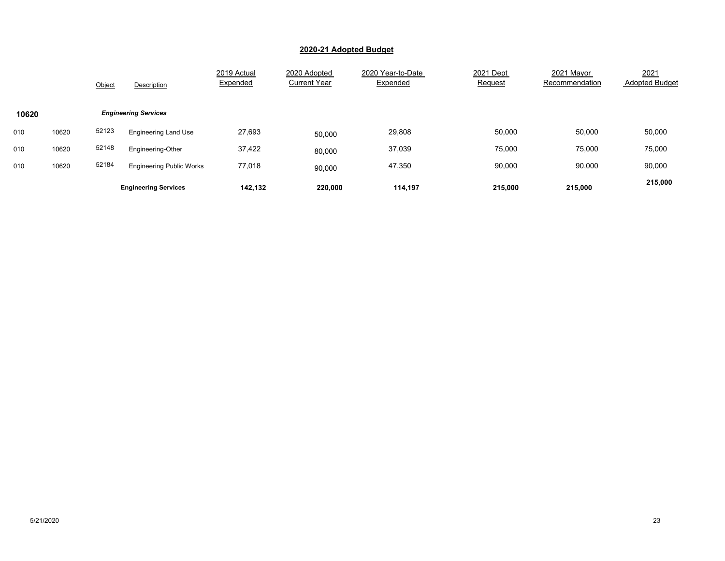|       |       | Object | Description                     | 2019 Actual<br>Expended | 2020 Adopted<br><b>Current Year</b> | 2020 Year-to-Date<br>Expended | 2021 Dept<br>Request | 2021 Mavor<br>Recommendation | 2021<br><b>Adopted Budget</b> |
|-------|-------|--------|---------------------------------|-------------------------|-------------------------------------|-------------------------------|----------------------|------------------------------|-------------------------------|
| 10620 |       |        | <b>Engineering Services</b>     |                         |                                     |                               |                      |                              |                               |
| 010   | 10620 | 52123  | <b>Engineering Land Use</b>     | 27,693                  | 50,000                              | 29,808                        | 50,000               | 50,000                       | 50,000                        |
| 010   | 10620 | 52148  | Engineering-Other               | 37,422                  | 80,000                              | 37,039                        | 75,000               | 75,000                       | 75,000                        |
| 010   | 10620 | 52184  | <b>Engineering Public Works</b> | 77,018                  | 90,000                              | 47,350                        | 90,000               | 90,000                       | 90,000                        |
|       |       |        | <b>Engineering Services</b>     | 142.132                 | 220.000                             | 114.197                       | 215,000              | 215,000                      | 215,000                       |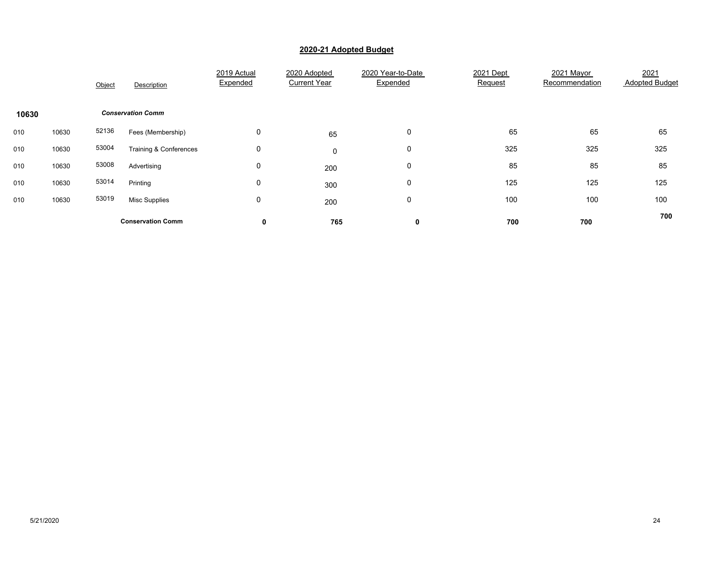|       |       | Object | Description              | 2019 Actual<br>Expended | 2020 Adopted<br><b>Current Year</b> | 2020 Year-to-Date<br>Expended | 2021 Dept<br>Request | 2021 Mayor<br>Recommendation | 2021<br><b>Adopted Budget</b> |
|-------|-------|--------|--------------------------|-------------------------|-------------------------------------|-------------------------------|----------------------|------------------------------|-------------------------------|
| 10630 |       |        | <b>Conservation Comm</b> |                         |                                     |                               |                      |                              |                               |
| 010   | 10630 | 52136  | Fees (Membership)        | 0                       | 65                                  | 0                             | 65                   | 65                           | 65                            |
| 010   | 10630 | 53004  | Training & Conferences   | 0                       | 0                                   | 0                             | 325                  | 325                          | 325                           |
| 010   | 10630 | 53008  | Advertising              | 0                       | 200                                 | 0                             | 85                   | 85                           | 85                            |
| 010   | 10630 | 53014  | Printing                 | 0                       | 300                                 | 0                             | 125                  | 125                          | 125                           |
| 010   | 10630 | 53019  | <b>Misc Supplies</b>     | 0                       | 200                                 | 0                             | 100                  | 100                          | 100                           |
|       |       |        | <b>Conservation Comm</b> | 0                       | 765                                 | 0                             | 700                  | 700                          | 700                           |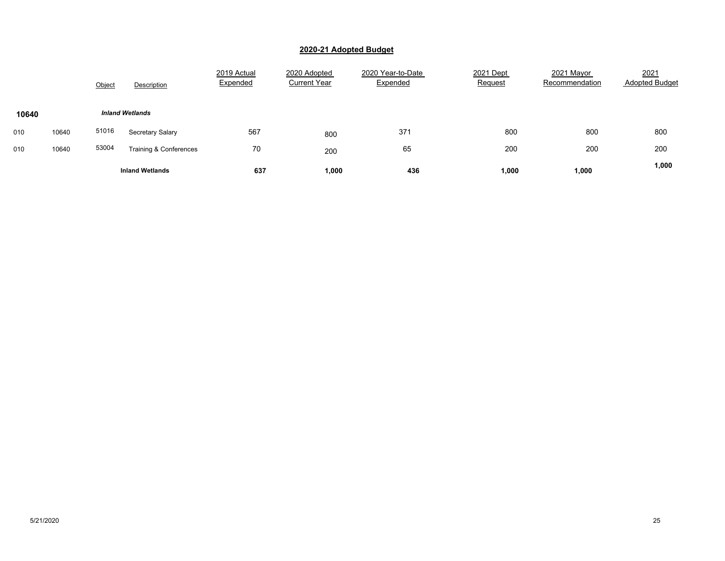|       |       | Object | Description            | 2019 Actual<br>Expended | 2020 Adopted<br><b>Current Year</b> | 2020 Year-to-Date<br>Expended | 2021 Dept<br><b>Request</b> | 2021 Mayor<br>Recommendation | 2021<br><b>Adopted Budget</b> |
|-------|-------|--------|------------------------|-------------------------|-------------------------------------|-------------------------------|-----------------------------|------------------------------|-------------------------------|
| 10640 |       |        | <b>Inland Wetlands</b> |                         |                                     |                               |                             |                              |                               |
| 010   | 10640 | 51016  | Secretary Salary       | 567                     | 800                                 | 371                           | 800                         | 800                          | 800                           |
| 010   | 10640 | 53004  | Training & Conferences | 70                      | 200                                 | 65                            | 200                         | 200                          | 200                           |
|       |       |        | <b>Inland Wetlands</b> | 637                     | 1,000                               | 436                           | 1,000                       | 1,000                        | 1,000                         |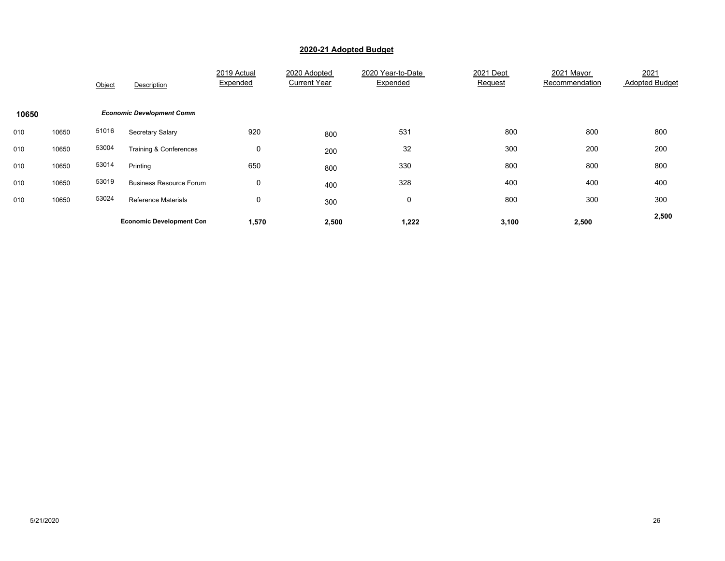|       |       | Object | Description                      | 2019 Actual<br>Expended | 2020 Adopted<br><b>Current Year</b> | 2020 Year-to-Date<br>Expended | 2021 Dept<br>Request | 2021 Mayor<br>Recommendation | 2021<br><b>Adopted Budget</b> |
|-------|-------|--------|----------------------------------|-------------------------|-------------------------------------|-------------------------------|----------------------|------------------------------|-------------------------------|
| 10650 |       |        | <b>Economic Development Comm</b> |                         |                                     |                               |                      |                              |                               |
| 010   | 10650 | 51016  | Secretary Salary                 | 920                     | 800                                 | 531                           | 800                  | 800                          | 800                           |
| 010   | 10650 | 53004  | Training & Conferences           | 0                       | 200                                 | 32                            | 300                  | 200                          | 200                           |
| 010   | 10650 | 53014  | Printing                         | 650                     | 800                                 | 330                           | 800                  | 800                          | 800                           |
| 010   | 10650 | 53019  | <b>Business Resource Forum</b>   | 0                       | 400                                 | 328                           | 400                  | 400                          | 400                           |
| 010   | 10650 | 53024  | <b>Reference Materials</b>       | $\mathbf 0$             | 300                                 | 0                             | 800                  | 300                          | 300                           |
|       |       |        | <b>Economic Development Con</b>  | 1,570                   | 2,500                               | 1,222                         | 3,100                | 2,500                        | 2,500                         |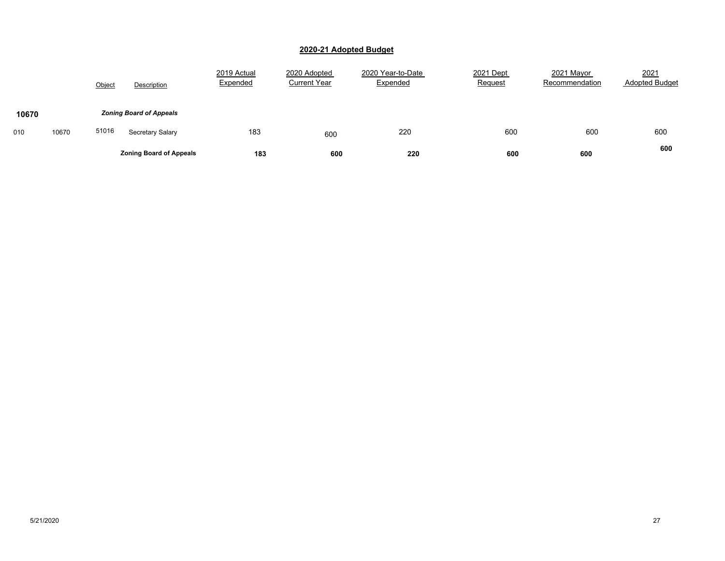|       |       | Object | Description                    | 2019 Actual<br>Expended | 2020 Adopted<br><b>Current Year</b> | 2020 Year-to-Date<br>Expended | 2021 Dept<br>Request | 2021 Mayor<br>Recommendation | 2021<br><b>Adopted Budget</b> |
|-------|-------|--------|--------------------------------|-------------------------|-------------------------------------|-------------------------------|----------------------|------------------------------|-------------------------------|
| 10670 |       |        | <b>Zoning Board of Appeals</b> |                         |                                     |                               |                      |                              |                               |
| 010   | 10670 | 51016  | Secretary Salary               | 183                     | 600                                 | 220                           | 600                  | 600                          | 600                           |
|       |       |        | <b>Zoning Board of Appeals</b> | 183                     | 600                                 | 220                           | 600                  | 600                          | 600                           |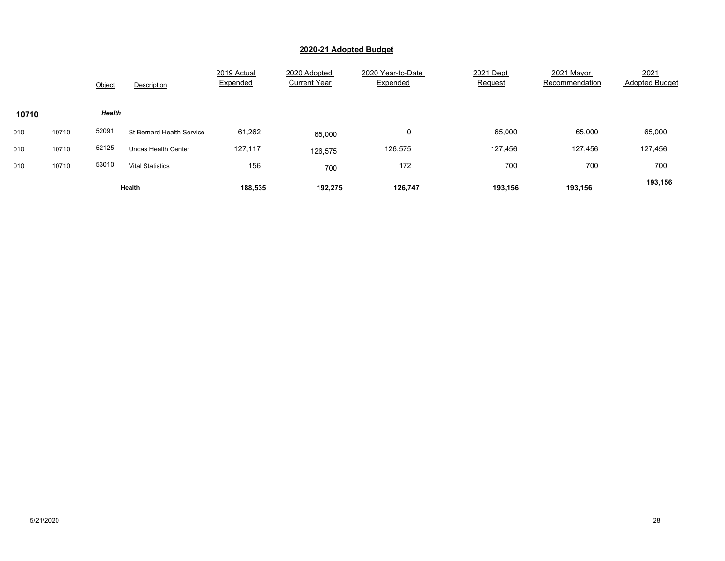|       |       | Object | Description                      | 2019 Actual<br>Expended | 2020 Adopted<br><b>Current Year</b> | 2020 Year-to-Date<br>Expended | 2021 Dept<br>Request | 2021 Mavor<br>Recommendation | 2021<br><b>Adopted Budget</b> |
|-------|-------|--------|----------------------------------|-------------------------|-------------------------------------|-------------------------------|----------------------|------------------------------|-------------------------------|
| 10710 |       | Health |                                  |                         |                                     |                               |                      |                              |                               |
| 010   | 10710 | 52091  | <b>St Bernard Health Service</b> | 61,262                  | 65,000                              | 0                             | 65,000               | 65,000                       | 65,000                        |
| 010   | 10710 | 52125  | <b>Uncas Health Center</b>       | 127,117                 | 126,575                             | 126,575                       | 127,456              | 127,456                      | 127,456                       |
| 010   | 10710 | 53010  | <b>Vital Statistics</b>          | 156                     | 700                                 | 172                           | 700                  | 700                          | 700                           |
|       |       |        | Health                           | 188,535                 | 192,275                             | 126,747                       | 193,156              | 193,156                      | 193,156                       |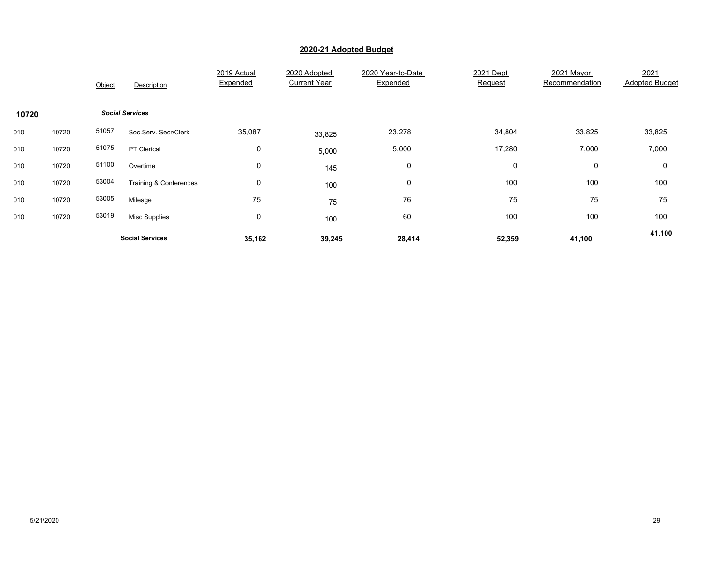|       |       | Object | Description            | 2019 Actual<br>Expended | 2020 Adopted<br><b>Current Year</b> | 2020 Year-to-Date<br>Expended | 2021 Dept<br><u>Request</u> | 2021 Mayor<br>Recommendation | 2021<br><b>Adopted Budget</b> |
|-------|-------|--------|------------------------|-------------------------|-------------------------------------|-------------------------------|-----------------------------|------------------------------|-------------------------------|
| 10720 |       |        | <b>Social Services</b> |                         |                                     |                               |                             |                              |                               |
| 010   | 10720 | 51057  | Soc.Serv. Secr/Clerk   | 35,087                  | 33,825                              | 23,278                        | 34,804                      | 33,825                       | 33,825                        |
| 010   | 10720 | 51075  | PT Clerical            | $\mathbf 0$             | 5,000                               | 5,000                         | 17,280                      | 7,000                        | 7,000                         |
| 010   | 10720 | 51100  | Overtime               | 0                       | 145                                 | 0                             | 0                           | 0                            | 0                             |
| 010   | 10720 | 53004  | Training & Conferences | 0                       | 100                                 | 0                             | 100                         | 100                          | 100                           |
| 010   | 10720 | 53005  | Mileage                | 75                      | 75                                  | 76                            | 75                          | 75                           | 75                            |
| 010   | 10720 | 53019  | <b>Misc Supplies</b>   | 0                       | 100                                 | 60                            | 100                         | 100                          | 100                           |
|       |       |        | <b>Social Services</b> | 35,162                  | 39,245                              | 28,414                        | 52,359                      | 41,100                       | 41,100                        |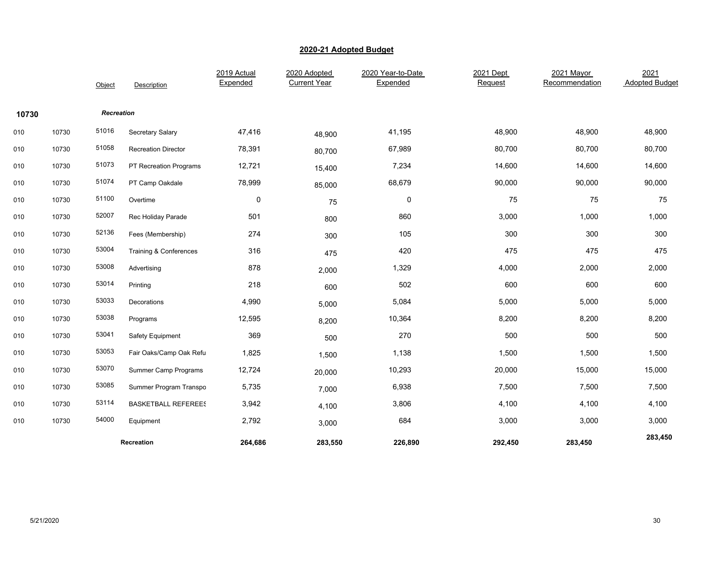|       |       | Object            | Description                 | 2019 Actual<br>Expended | 2020 Adopted<br><b>Current Year</b> | 2020 Year-to-Date<br>Expended | 2021 Dept<br>Request | 2021 Mayor<br>Recommendation | 2021<br><b>Adopted Budget</b> |
|-------|-------|-------------------|-----------------------------|-------------------------|-------------------------------------|-------------------------------|----------------------|------------------------------|-------------------------------|
| 10730 |       | <b>Recreation</b> |                             |                         |                                     |                               |                      |                              |                               |
| 010   | 10730 | 51016             | Secretary Salary            | 47,416                  | 48,900                              | 41,195                        | 48,900               | 48,900                       | 48,900                        |
| 010   | 10730 | 51058             | <b>Recreation Director</b>  | 78,391                  | 80,700                              | 67,989                        | 80,700               | 80,700                       | 80,700                        |
| 010   | 10730 | 51073             | PT Recreation Programs      | 12,721                  | 15,400                              | 7,234                         | 14,600               | 14,600                       | 14,600                        |
| 010   | 10730 | 51074             | PT Camp Oakdale             | 78,999                  | 85,000                              | 68,679                        | 90,000               | 90,000                       | 90,000                        |
| 010   | 10730 | 51100             | Overtime                    | 0                       | 75                                  | 0                             | 75                   | 75                           | 75                            |
| 010   | 10730 | 52007             | Rec Holiday Parade          | 501                     | 800                                 | 860                           | 3,000                | 1,000                        | 1,000                         |
| 010   | 10730 | 52136             | Fees (Membership)           | 274                     | 300                                 | 105                           | 300                  | 300                          | 300                           |
| 010   | 10730 | 53004             | Training & Conferences      | 316                     | 475                                 | 420                           | 475                  | 475                          | 475                           |
| 010   | 10730 | 53008             | Advertising                 | 878                     | 2,000                               | 1,329                         | 4,000                | 2,000                        | 2,000                         |
| 010   | 10730 | 53014             | Printing                    | 218                     | 600                                 | 502                           | 600                  | 600                          | 600                           |
| 010   | 10730 | 53033             | Decorations                 | 4,990                   | 5,000                               | 5,084                         | 5,000                | 5,000                        | 5,000                         |
| 010   | 10730 | 53038             | Programs                    | 12,595                  | 8,200                               | 10,364                        | 8,200                | 8,200                        | 8,200                         |
| 010   | 10730 | 53041             | Safety Equipment            | 369                     | 500                                 | 270                           | 500                  | 500                          | 500                           |
| 010   | 10730 | 53053             | Fair Oaks/Camp Oak Refu     | 1,825                   | 1,500                               | 1,138                         | 1,500                | 1,500                        | 1,500                         |
| 010   | 10730 | 53070             | <b>Summer Camp Programs</b> | 12,724                  | 20,000                              | 10,293                        | 20,000               | 15,000                       | 15,000                        |
| 010   | 10730 | 53085             | Summer Program Transpo      | 5,735                   | 7,000                               | 6,938                         | 7,500                | 7,500                        | 7,500                         |
| 010   | 10730 | 53114             | <b>BASKETBALL REFEREES</b>  | 3,942                   | 4,100                               | 3,806                         | 4,100                | 4,100                        | 4,100                         |
| 010   | 10730 | 54000             | Equipment                   | 2,792                   | 3,000                               | 684                           | 3,000                | 3,000                        | 3,000                         |
|       |       |                   | Recreation                  | 264,686                 | 283,550                             | 226,890                       | 292,450              | 283,450                      | 283,450                       |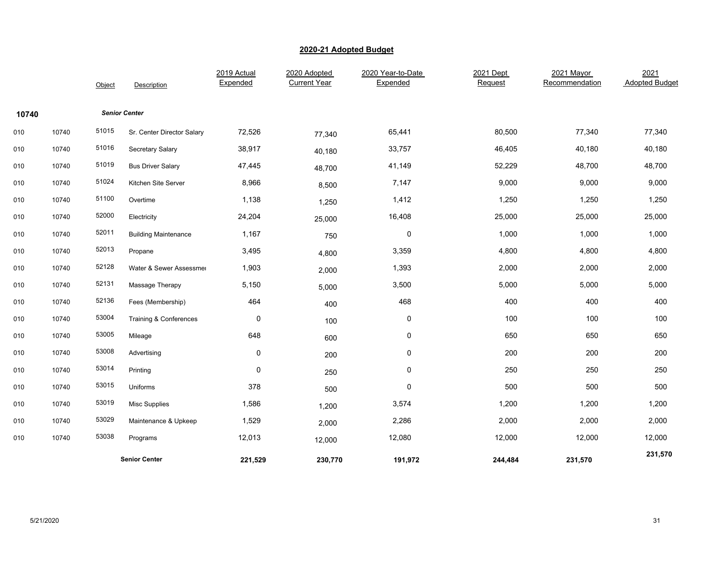|       |       | Object | Description                 | 2019 Actual<br>Expended | 2020 Adopted<br><b>Current Year</b> | 2020 Year-to-Date<br>Expended | 2021 Dept<br>Request | 2021 Mayor<br>Recommendation | 2021<br><b>Adopted Budget</b> |
|-------|-------|--------|-----------------------------|-------------------------|-------------------------------------|-------------------------------|----------------------|------------------------------|-------------------------------|
| 10740 |       |        | <b>Senior Center</b>        |                         |                                     |                               |                      |                              |                               |
| 010   | 10740 | 51015  | Sr. Center Director Salary  | 72,526                  | 77,340                              | 65,441                        | 80,500               | 77,340                       | 77,340                        |
| 010   | 10740 | 51016  | Secretary Salary            | 38,917                  | 40,180                              | 33,757                        | 46,405               | 40,180                       | 40,180                        |
| 010   | 10740 | 51019  | <b>Bus Driver Salary</b>    | 47,445                  | 48,700                              | 41,149                        | 52,229               | 48,700                       | 48,700                        |
| 010   | 10740 | 51024  | Kitchen Site Server         | 8,966                   | 8,500                               | 7,147                         | 9,000                | 9,000                        | 9,000                         |
| 010   | 10740 | 51100  | Overtime                    | 1,138                   | 1,250                               | 1,412                         | 1,250                | 1,250                        | 1,250                         |
| 010   | 10740 | 52000  | Electricity                 | 24,204                  | 25,000                              | 16,408                        | 25,000               | 25,000                       | 25,000                        |
| 010   | 10740 | 52011  | <b>Building Maintenance</b> | 1,167                   | 750                                 | 0                             | 1,000                | 1,000                        | 1,000                         |
| 010   | 10740 | 52013  | Propane                     | 3,495                   | 4,800                               | 3,359                         | 4,800                | 4,800                        | 4,800                         |
| 010   | 10740 | 52128  | Water & Sewer Assessmer     | 1,903                   | 2,000                               | 1,393                         | 2,000                | 2,000                        | 2,000                         |
| 010   | 10740 | 52131  | Massage Therapy             | 5,150                   | 5,000                               | 3,500                         | 5,000                | 5,000                        | 5,000                         |
| 010   | 10740 | 52136  | Fees (Membership)           | 464                     | 400                                 | 468                           | 400                  | 400                          | 400                           |
| 010   | 10740 | 53004  | Training & Conferences      | $\mathbf 0$             | 100                                 | 0                             | 100                  | 100                          | 100                           |
| 010   | 10740 | 53005  | Mileage                     | 648                     | 600                                 | 0                             | 650                  | 650                          | 650                           |
| 010   | 10740 | 53008  | Advertising                 | $\pmb{0}$               | 200                                 | $\pmb{0}$                     | 200                  | 200                          | 200                           |
| 010   | 10740 | 53014  | Printing                    | $\mathbf 0$             | 250                                 | 0                             | 250                  | 250                          | 250                           |
| 010   | 10740 | 53015  | Uniforms                    | 378                     | 500                                 | 0                             | 500                  | 500                          | 500                           |
| 010   | 10740 | 53019  | <b>Misc Supplies</b>        | 1,586                   | 1,200                               | 3,574                         | 1,200                | 1,200                        | 1,200                         |
| 010   | 10740 | 53029  | Maintenance & Upkeep        | 1,529                   | 2,000                               | 2,286                         | 2,000                | 2,000                        | 2,000                         |
| 010   | 10740 | 53038  | Programs                    | 12,013                  | 12,000                              | 12,080                        | 12,000               | 12,000                       | 12,000                        |
|       |       |        | <b>Senior Center</b>        | 221,529                 | 230,770                             | 191,972                       | 244,484              | 231,570                      | 231,570                       |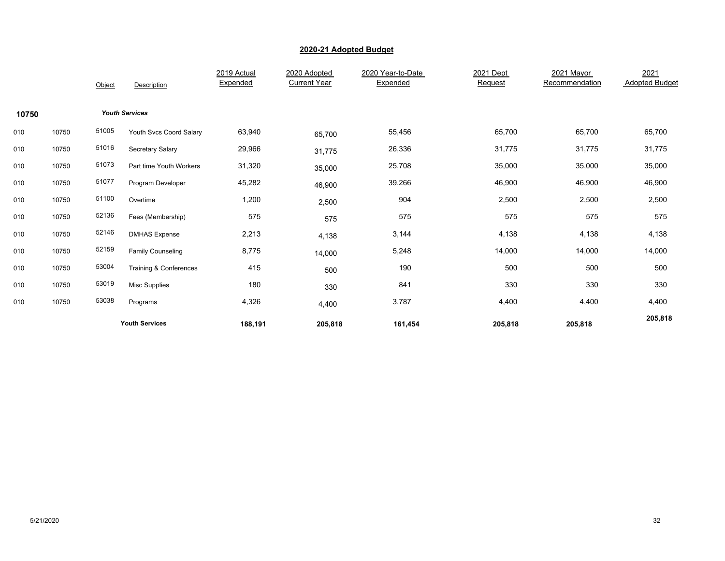|       |       | Object | Description              | 2019 Actual<br>Expended | 2020 Adopted<br><b>Current Year</b> | 2020 Year-to-Date<br>Expended | 2021 Dept<br>Request | 2021 Mayor<br>Recommendation | 2021<br><b>Adopted Budget</b> |
|-------|-------|--------|--------------------------|-------------------------|-------------------------------------|-------------------------------|----------------------|------------------------------|-------------------------------|
| 10750 |       |        | <b>Youth Services</b>    |                         |                                     |                               |                      |                              |                               |
| 010   | 10750 | 51005  | Youth Svcs Coord Salary  | 63,940                  | 65,700                              | 55,456                        | 65,700               | 65,700                       | 65,700                        |
| 010   | 10750 | 51016  | Secretary Salary         | 29,966                  | 31,775                              | 26,336                        | 31,775               | 31,775                       | 31,775                        |
| 010   | 10750 | 51073  | Part time Youth Workers  | 31,320                  | 35,000                              | 25,708                        | 35,000               | 35,000                       | 35,000                        |
| 010   | 10750 | 51077  | Program Developer        | 45,282                  | 46,900                              | 39,266                        | 46,900               | 46,900                       | 46,900                        |
| 010   | 10750 | 51100  | Overtime                 | 1,200                   | 2,500                               | 904                           | 2,500                | 2,500                        | 2,500                         |
| 010   | 10750 | 52136  | Fees (Membership)        | 575                     | 575                                 | 575                           | 575                  | 575                          | 575                           |
| 010   | 10750 | 52146  | <b>DMHAS Expense</b>     | 2,213                   | 4,138                               | 3,144                         | 4,138                | 4,138                        | 4,138                         |
| 010   | 10750 | 52159  | <b>Family Counseling</b> | 8,775                   | 14,000                              | 5,248                         | 14,000               | 14,000                       | 14,000                        |
| 010   | 10750 | 53004  | Training & Conferences   | 415                     | 500                                 | 190                           | 500                  | 500                          | 500                           |
| 010   | 10750 | 53019  | <b>Misc Supplies</b>     | 180                     | 330                                 | 841                           | 330                  | 330                          | 330                           |
| 010   | 10750 | 53038  | Programs                 | 4,326                   | 4,400                               | 3,787                         | 4,400                | 4,400                        | 4,400                         |
|       |       |        | <b>Youth Services</b>    | 188,191                 | 205,818                             | 161,454                       | 205,818              | 205,818                      | 205,818                       |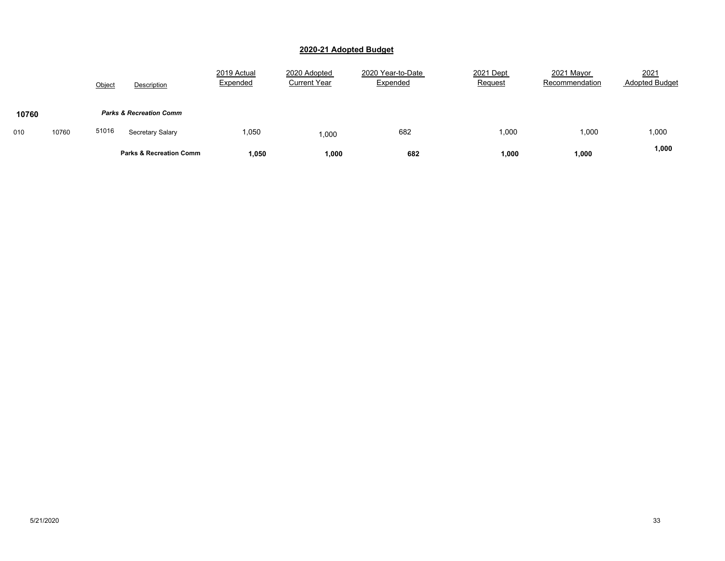|       |       | Object<br>Description              | 2019 Actual<br>Expended | 2020 Adopted<br><b>Current Year</b> | 2020 Year-to-Date<br>Expended | 2021 Dept<br>Request | 2021 Mayor<br>Recommendation | 2021<br><b>Adopted Budget</b> |
|-------|-------|------------------------------------|-------------------------|-------------------------------------|-------------------------------|----------------------|------------------------------|-------------------------------|
| 10760 |       | <b>Parks &amp; Recreation Comm</b> |                         |                                     |                               |                      |                              |                               |
| 010   | 10760 | 51016<br>Secretary Salary          | 1,050                   | 000,                                | 682                           | 1,000                | 1,000                        | 1,000                         |
|       |       | <b>Parks &amp; Recreation Comm</b> | 1,050                   | 1,000                               | 682                           | 1,000                | 1,000                        | 1,000                         |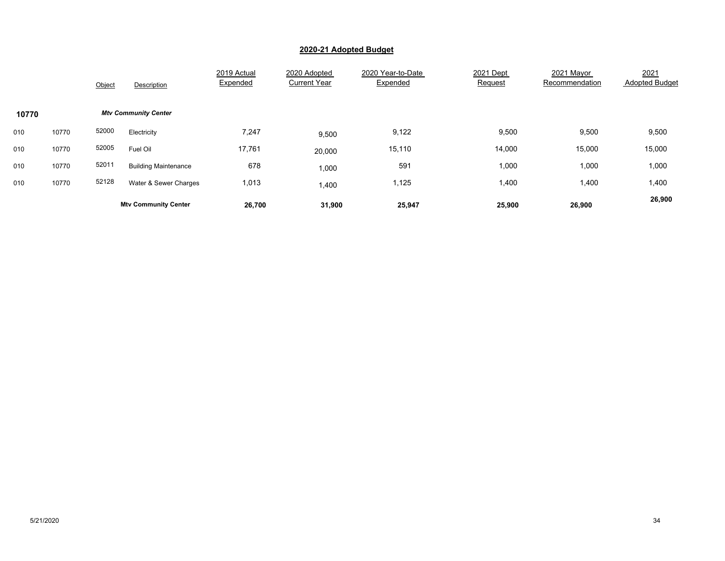|       |       | Object | Description                 | 2019 Actual<br>Expended | 2020 Adopted<br><b>Current Year</b> | 2020 Year-to-Date<br>Expended | 2021 Dept<br>Request | 2021 Mayor<br>Recommendation | 2021<br><b>Adopted Budget</b> |
|-------|-------|--------|-----------------------------|-------------------------|-------------------------------------|-------------------------------|----------------------|------------------------------|-------------------------------|
| 10770 |       |        | <b>Mtv Community Center</b> |                         |                                     |                               |                      |                              |                               |
| 010   | 10770 | 52000  | Electricity                 | 7,247                   | 9,500                               | 9,122                         | 9,500                | 9,500                        | 9,500                         |
| 010   | 10770 | 52005  | Fuel Oil                    | 17,761                  | 20,000                              | 15,110                        | 14,000               | 15,000                       | 15,000                        |
| 010   | 10770 | 52011  | <b>Building Maintenance</b> | 678                     | 1,000                               | 591                           | 1,000                | 1,000                        | 1,000                         |
| 010   | 10770 | 52128  | Water & Sewer Charges       | 1,013                   | 1,400                               | 1,125                         | 1,400                | 1,400                        | 1,400                         |
|       |       |        | <b>Mtv Community Center</b> | 26,700                  | 31,900                              | 25,947                        | 25,900               | 26,900                       | 26,900                        |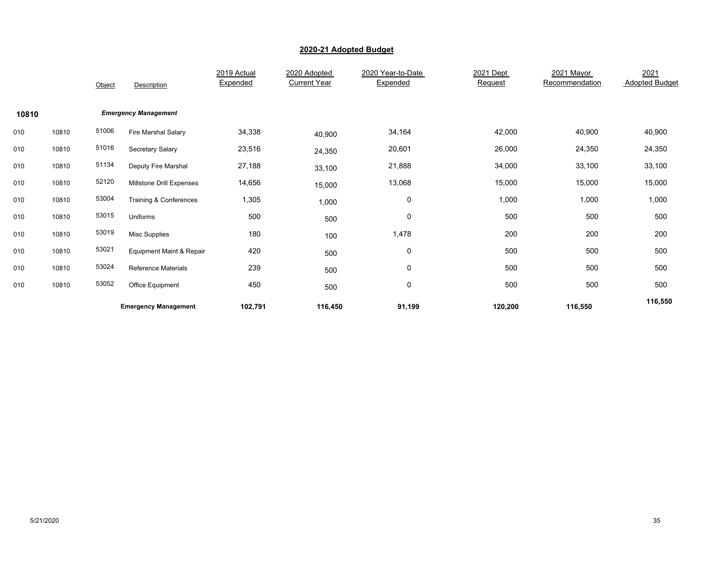|       |       | Object | Description                 | 2019 Actual<br>Expended | 2020 Adopted<br><b>Current Year</b> | 2020 Year-to-Date<br>Expended | 2021 Dept<br>Request | 2021 Mayor<br>Recommendation | 2021<br><b>Adopted Budget</b> |
|-------|-------|--------|-----------------------------|-------------------------|-------------------------------------|-------------------------------|----------------------|------------------------------|-------------------------------|
| 10810 |       |        | <b>Emergency Management</b> |                         |                                     |                               |                      |                              |                               |
| 010   | 10810 | 51006  | Fire Marshal Salary         | 34,338                  | 40,900                              | 34,164                        | 42,000               | 40,900                       | 40,900                        |
| 010   | 10810 | 51016  | Secretary Salary            | 23,516                  | 24,350                              | 20,601                        | 26,000               | 24,350                       | 24,350                        |
| 010   | 10810 | 51134  | Deputy Fire Marshal         | 27,188                  | 33,100                              | 21,888                        | 34,000               | 33,100                       | 33,100                        |
| 010   | 10810 | 52120  | Millstone Drill Expenses    | 14,656                  | 15,000                              | 13,068                        | 15,000               | 15,000                       | 15,000                        |
| 010   | 10810 | 53004  | Training & Conferences      | 1,305                   | 1,000                               | 0                             | 1,000                | 1,000                        | 1,000                         |
| 010   | 10810 | 53015  | Uniforms                    | 500                     | 500                                 | $\pmb{0}$                     | 500                  | 500                          | 500                           |
| 010   | 10810 | 53019  | <b>Misc Supplies</b>        | 180                     | 100                                 | 1,478                         | 200                  | 200                          | 200                           |
| 010   | 10810 | 53021  | Equipment Maint & Repair    | 420                     | 500                                 | 0                             | 500                  | 500                          | 500                           |
| 010   | 10810 | 53024  | <b>Reference Materials</b>  | 239                     | 500                                 | 0                             | 500                  | 500                          | 500                           |
| 010   | 10810 | 53052  | Office Equipment            | 450                     | 500                                 | 0                             | 500                  | 500                          | 500                           |
|       |       |        | <b>Emergency Management</b> | 102,791                 | 116,450                             | 91,199                        | 120,200              | 116,550                      | 116,550                       |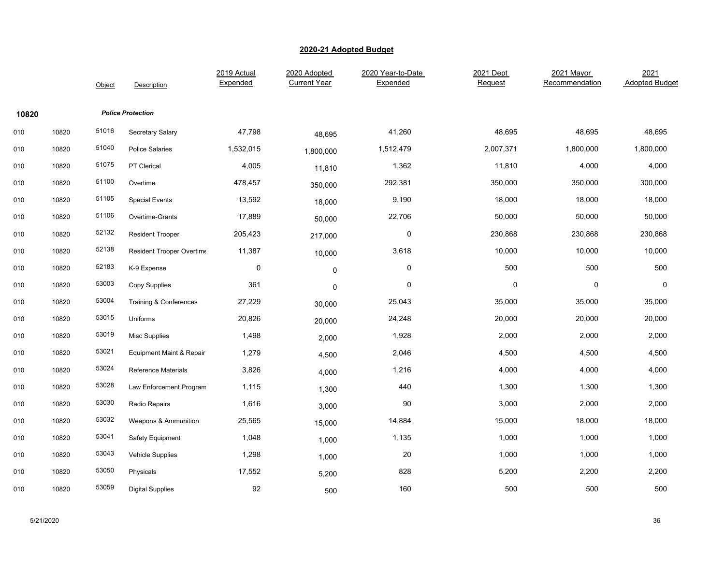|       |       | Object | Description                       | 2019 Actual<br>Expended | 2020 Adopted<br><b>Current Year</b> | 2020 Year-to-Date<br>Expended | 2021 Dept<br>Request | 2021 Mayor<br>Recommendation | 2021<br><b>Adopted Budget</b> |
|-------|-------|--------|-----------------------------------|-------------------------|-------------------------------------|-------------------------------|----------------------|------------------------------|-------------------------------|
| 10820 |       |        | <b>Police Protection</b>          |                         |                                     |                               |                      |                              |                               |
| 010   | 10820 | 51016  | Secretary Salary                  | 47,798                  | 48,695                              | 41,260                        | 48,695               | 48,695                       | 48,695                        |
| 010   | 10820 | 51040  | <b>Police Salaries</b>            | 1,532,015               | 1,800,000                           | 1,512,479                     | 2,007,371            | 1,800,000                    | 1,800,000                     |
| 010   | 10820 | 51075  | PT Clerical                       | 4,005                   | 11,810                              | 1,362                         | 11,810               | 4,000                        | 4,000                         |
| 010   | 10820 | 51100  | Overtime                          | 478,457                 | 350,000                             | 292,381                       | 350,000              | 350,000                      | 300,000                       |
| 010   | 10820 | 51105  | <b>Special Events</b>             | 13,592                  | 18,000                              | 9,190                         | 18,000               | 18,000                       | 18,000                        |
| 010   | 10820 | 51106  | Overtime-Grants                   | 17,889                  | 50,000                              | 22,706                        | 50,000               | 50,000                       | 50,000                        |
| 010   | 10820 | 52132  | <b>Resident Trooper</b>           | 205,423                 | 217,000                             | $\pmb{0}$                     | 230,868              | 230,868                      | 230,868                       |
| 010   | 10820 | 52138  | Resident Trooper Overtime         | 11,387                  | 10,000                              | 3,618                         | 10,000               | 10,000                       | 10,000                        |
| 010   | 10820 | 52183  | K-9 Expense                       | 0                       | $\pmb{0}$                           | 0                             | 500                  | 500                          | 500                           |
| 010   | 10820 | 53003  | Copy Supplies                     | 361                     | $\pmb{0}$                           | 0                             | 0                    | 0                            | 0                             |
| 010   | 10820 | 53004  | <b>Training &amp; Conferences</b> | 27,229                  | 30,000                              | 25,043                        | 35,000               | 35,000                       | 35,000                        |
| 010   | 10820 | 53015  | Uniforms                          | 20,826                  | 20,000                              | 24,248                        | 20,000               | 20,000                       | 20,000                        |
| 010   | 10820 | 53019  | Misc Supplies                     | 1,498                   | 2,000                               | 1,928                         | 2,000                | 2,000                        | 2,000                         |
| 010   | 10820 | 53021  | Equipment Maint & Repair          | 1,279                   | 4,500                               | 2,046                         | 4,500                | 4,500                        | 4,500                         |
| 010   | 10820 | 53024  | Reference Materials               | 3,826                   | 4,000                               | 1,216                         | 4,000                | 4,000                        | 4,000                         |
| 010   | 10820 | 53028  | Law Enforcement Program           | 1,115                   | 1,300                               | 440                           | 1,300                | 1,300                        | 1,300                         |
| 010   | 10820 | 53030  | Radio Repairs                     | 1,616                   | 3,000                               | 90                            | 3,000                | 2,000                        | 2,000                         |
| 010   | 10820 | 53032  | Weapons & Ammunition              | 25,565                  | 15,000                              | 14,884                        | 15,000               | 18,000                       | 18,000                        |
| 010   | 10820 | 53041  | Safety Equipment                  | 1,048                   | 1,000                               | 1,135                         | 1,000                | 1,000                        | 1,000                         |
| 010   | 10820 | 53043  | <b>Vehicle Supplies</b>           | 1,298                   | 1,000                               | 20                            | 1,000                | 1,000                        | 1,000                         |
| 010   | 10820 | 53050  | Physicals                         | 17,552                  | 5,200                               | 828                           | 5,200                | 2,200                        | 2,200                         |
| 010   | 10820 | 53059  | <b>Digital Supplies</b>           | 92                      | 500                                 | 160                           | 500                  | 500                          | 500                           |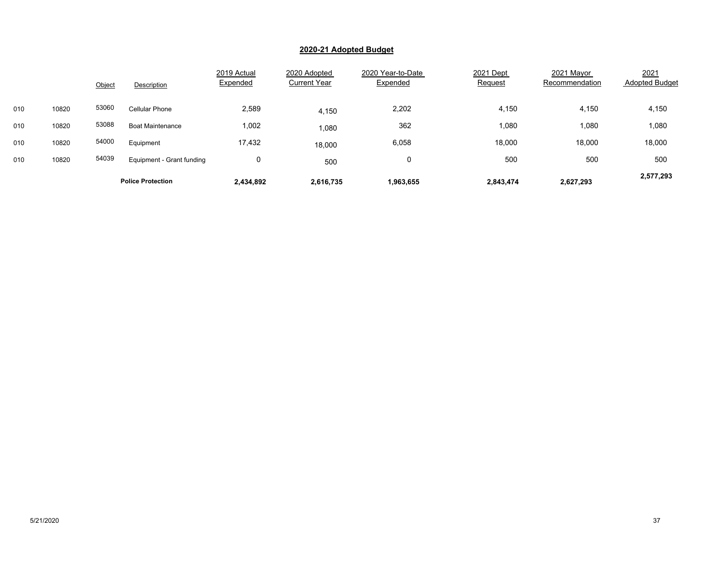|     |       | Object | Description               | 2019 Actual<br>Expended | 2020 Adopted<br><b>Current Year</b> | 2020 Year-to-Date<br>Expended | 2021 Dept<br>Request | 2021 Mayor<br>Recommendation | 2021<br><b>Adopted Budget</b> |
|-----|-------|--------|---------------------------|-------------------------|-------------------------------------|-------------------------------|----------------------|------------------------------|-------------------------------|
| 010 | 10820 | 53060  | Cellular Phone            | 2,589                   | 4,150                               | 2,202                         | 4,150                | 4,150                        | 4,150                         |
| 010 | 10820 | 53088  | <b>Boat Maintenance</b>   | 1,002                   | 080,                                | 362                           | 1,080                | 1,080                        | 1,080                         |
| 010 | 10820 | 54000  | Equipment                 | 17,432                  | 18,000                              | 6,058                         | 18,000               | 18,000                       | 18,000                        |
| 010 | 10820 | 54039  | Equipment - Grant funding | 0                       | 500                                 | 0                             | 500                  | 500                          | 500                           |
|     |       |        | <b>Police Protection</b>  | 2,434,892               | 2,616,735                           | 1,963,655                     | 2,843,474            | 2,627,293                    | 2,577,293                     |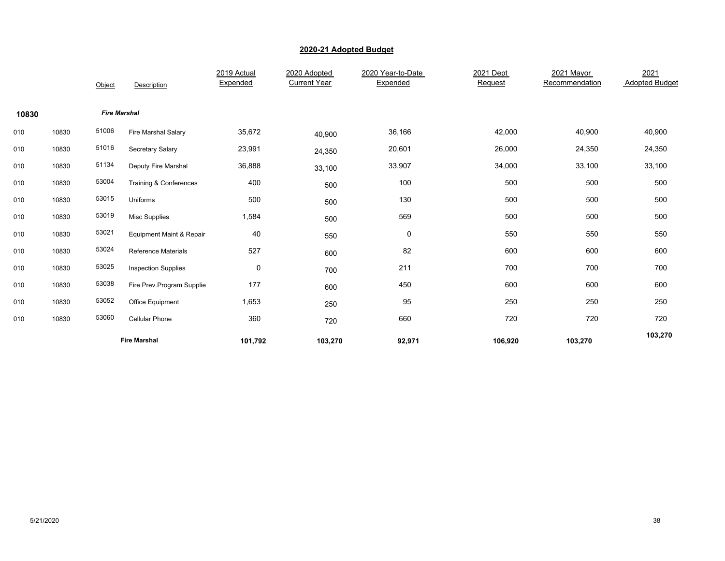|       |       | Object              | Description                | 2019 Actual<br>Expended | 2020 Adopted<br><b>Current Year</b> | 2020 Year-to-Date<br>Expended | 2021 Dept<br>Request | 2021 Mayor<br>Recommendation | 2021<br><b>Adopted Budget</b> |
|-------|-------|---------------------|----------------------------|-------------------------|-------------------------------------|-------------------------------|----------------------|------------------------------|-------------------------------|
| 10830 |       | <b>Fire Marshal</b> |                            |                         |                                     |                               |                      |                              |                               |
| 010   | 10830 | 51006               | Fire Marshal Salary        | 35,672                  | 40,900                              | 36,166                        | 42,000               | 40,900                       | 40,900                        |
| 010   | 10830 | 51016               | Secretary Salary           | 23,991                  | 24,350                              | 20,601                        | 26,000               | 24,350                       | 24,350                        |
| 010   | 10830 | 51134               | Deputy Fire Marshal        | 36,888                  | 33,100                              | 33,907                        | 34,000               | 33,100                       | 33,100                        |
| 010   | 10830 | 53004               | Training & Conferences     | 400                     | 500                                 | 100                           | 500                  | 500                          | 500                           |
| 010   | 10830 | 53015               | Uniforms                   | 500                     | 500                                 | 130                           | 500                  | 500                          | 500                           |
| 010   | 10830 | 53019               | <b>Misc Supplies</b>       | 1,584                   | 500                                 | 569                           | 500                  | 500                          | 500                           |
| 010   | 10830 | 53021               | Equipment Maint & Repair   | 40                      | 550                                 | 0                             | 550                  | 550                          | 550                           |
| 010   | 10830 | 53024               | <b>Reference Materials</b> | 527                     | 600                                 | 82                            | 600                  | 600                          | 600                           |
| 010   | 10830 | 53025               | <b>Inspection Supplies</b> | $\pmb{0}$               | 700                                 | 211                           | 700                  | 700                          | 700                           |
| 010   | 10830 | 53038               | Fire Prev.Program Supplie  | 177                     | 600                                 | 450                           | 600                  | 600                          | 600                           |
| 010   | 10830 | 53052               | Office Equipment           | 1,653                   | 250                                 | 95                            | 250                  | 250                          | 250                           |
| 010   | 10830 | 53060               | Cellular Phone             | 360                     | 720                                 | 660                           | 720                  | 720                          | 720                           |
|       |       |                     | <b>Fire Marshal</b>        | 101,792                 | 103,270                             | 92,971                        | 106,920              | 103,270                      | 103,270                       |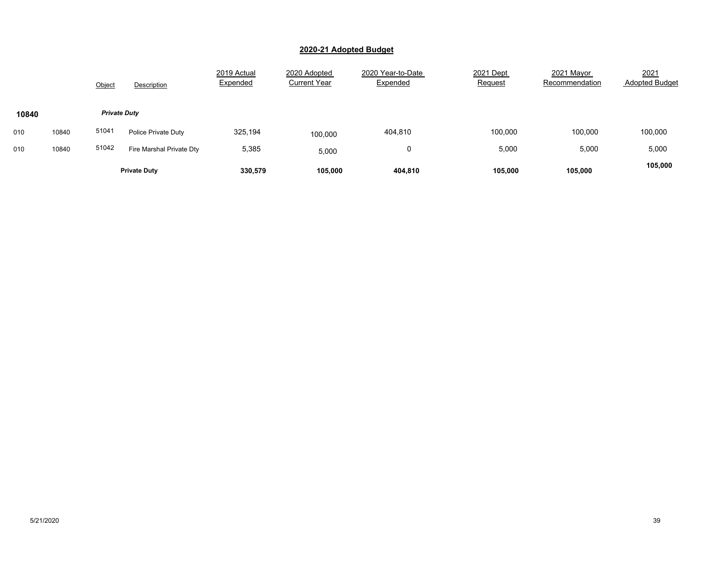|       |       | Object | Description              | 2019 Actual<br>Expended | 2020 Adopted<br><b>Current Year</b> | 2020 Year-to-Date<br>Expended | 2021 Dept<br>Request | 2021 Mayor<br>Recommendation | 2021<br><b>Adopted Budget</b> |
|-------|-------|--------|--------------------------|-------------------------|-------------------------------------|-------------------------------|----------------------|------------------------------|-------------------------------|
| 10840 |       |        | <b>Private Duty</b>      |                         |                                     |                               |                      |                              |                               |
| 010   | 10840 | 51041  | Police Private Duty      | 325,194                 | 100.000                             | 404,810                       | 100,000              | 100,000                      | 100,000                       |
| 010   | 10840 | 51042  | Fire Marshal Private Dty | 5,385                   | 5,000                               | 0                             | 5,000                | 5,000                        | 5,000                         |
|       |       |        | <b>Private Duty</b>      | 330,579                 | 105,000                             | 404,810                       | 105,000              | 105,000                      | 105,000                       |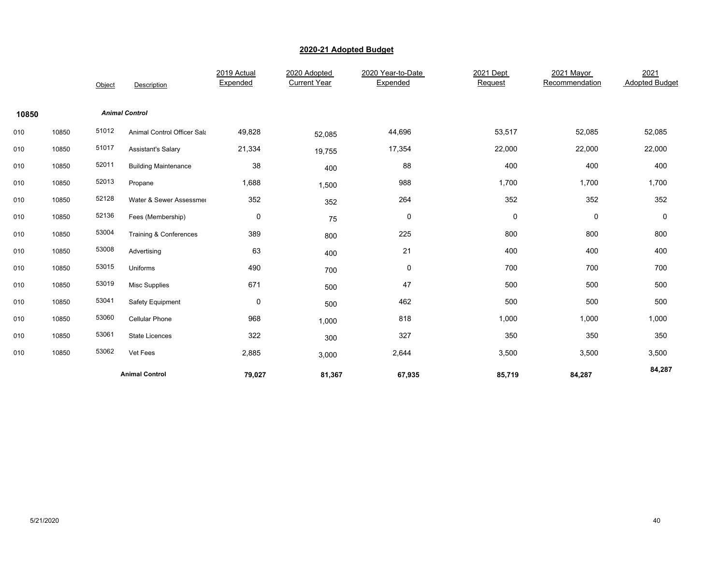|       |       | Object | Description                 | 2019 Actual<br>Expended | 2020 Adopted<br><b>Current Year</b> | 2020 Year-to-Date<br>Expended | 2021 Dept<br>Request | 2021 Mayor<br>Recommendation | 2021<br><b>Adopted Budget</b> |
|-------|-------|--------|-----------------------------|-------------------------|-------------------------------------|-------------------------------|----------------------|------------------------------|-------------------------------|
| 10850 |       |        | <b>Animal Control</b>       |                         |                                     |                               |                      |                              |                               |
| 010   | 10850 | 51012  | Animal Control Officer Sala | 49,828                  | 52,085                              | 44,696                        | 53,517               | 52,085                       | 52,085                        |
| 010   | 10850 | 51017  | <b>Assistant's Salary</b>   | 21,334                  | 19,755                              | 17,354                        | 22,000               | 22,000                       | 22,000                        |
| 010   | 10850 | 52011  | <b>Building Maintenance</b> | 38                      | 400                                 | 88                            | 400                  | 400                          | 400                           |
| 010   | 10850 | 52013  | Propane                     | 1,688                   | 1,500                               | 988                           | 1,700                | 1,700                        | 1,700                         |
| 010   | 10850 | 52128  | Water & Sewer Assessmer     | 352                     | 352                                 | 264                           | 352                  | 352                          | 352                           |
| 010   | 10850 | 52136  | Fees (Membership)           | $\pmb{0}$               | 75                                  | 0                             | $\pmb{0}$            | 0                            | 0                             |
| 010   | 10850 | 53004  | Training & Conferences      | 389                     | 800                                 | 225                           | 800                  | 800                          | 800                           |
| 010   | 10850 | 53008  | Advertising                 | 63                      | 400                                 | 21                            | 400                  | 400                          | 400                           |
| 010   | 10850 | 53015  | Uniforms                    | 490                     | 700                                 | 0                             | 700                  | 700                          | 700                           |
| 010   | 10850 | 53019  | Misc Supplies               | 671                     | 500                                 | 47                            | 500                  | 500                          | 500                           |
| 010   | 10850 | 53041  | Safety Equipment            | 0                       | 500                                 | 462                           | 500                  | 500                          | 500                           |
| 010   | 10850 | 53060  | Cellular Phone              | 968                     | 1,000                               | 818                           | 1,000                | 1,000                        | 1,000                         |
| 010   | 10850 | 53061  | State Licences              | 322                     | 300                                 | 327                           | 350                  | 350                          | 350                           |
| 010   | 10850 | 53062  | Vet Fees                    | 2,885                   | 3,000                               | 2,644                         | 3,500                | 3,500                        | 3,500                         |
|       |       |        | <b>Animal Control</b>       | 79,027                  | 81,367                              | 67,935                        | 85,719               | 84,287                       | 84,287                        |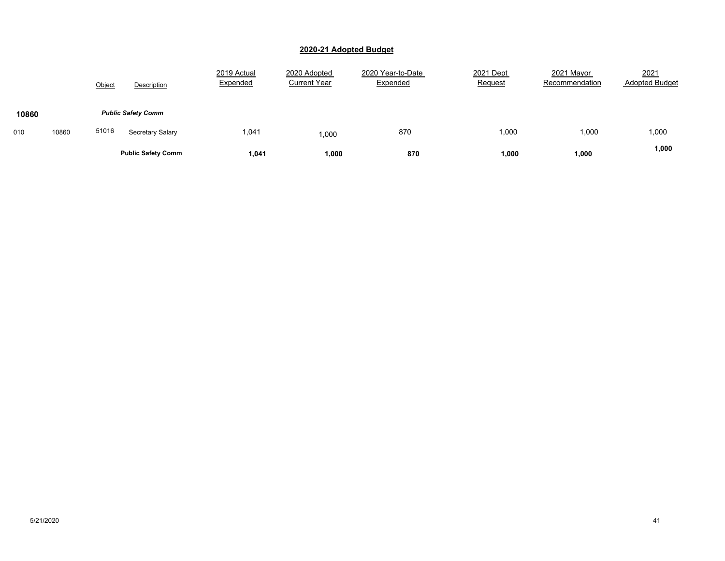|       |       | Object<br>Description     | 2019 Actual<br>Expended | 2020 Adopted<br><b>Current Year</b> | 2020 Year-to-Date<br>Expended | 2021 Dept<br><b>Request</b> | 2021 Mayor<br>Recommendation | 2021<br><b>Adopted Budget</b> |
|-------|-------|---------------------------|-------------------------|-------------------------------------|-------------------------------|-----------------------------|------------------------------|-------------------------------|
| 10860 |       | <b>Public Safety Comm</b> |                         |                                     |                               |                             |                              |                               |
| 010   | 10860 | 51016<br>Secretary Salary | 1,041                   | 000,1                               | 870                           | 1,000                       | 1,000                        | 1,000                         |
|       |       | <b>Public Safety Comm</b> | 1,041                   | 1,000                               | 870                           | 1,000                       | 1,000                        | 1,000                         |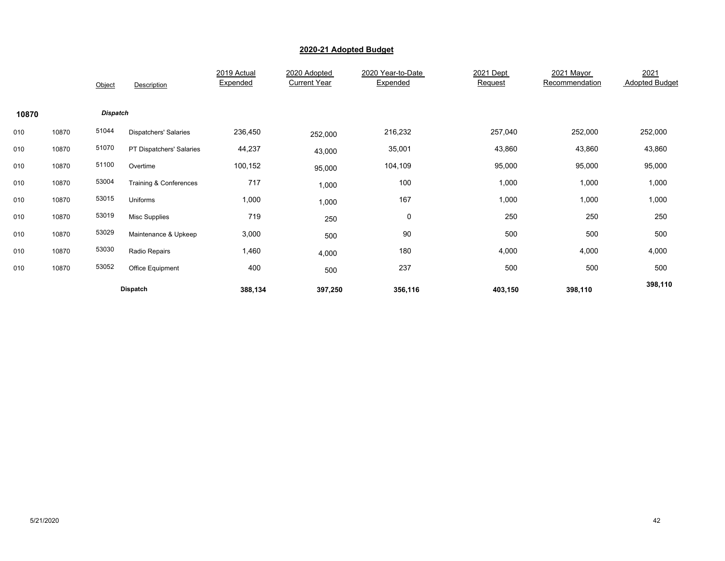|       |       | Object          | Description                  | 2019 Actual<br>Expended | 2020 Adopted<br><b>Current Year</b> | 2020 Year-to-Date<br>Expended | 2021 Dept<br>Request | 2021 Mayor<br>Recommendation | 2021<br><b>Adopted Budget</b> |
|-------|-------|-----------------|------------------------------|-------------------------|-------------------------------------|-------------------------------|----------------------|------------------------------|-------------------------------|
| 10870 |       | <b>Dispatch</b> |                              |                         |                                     |                               |                      |                              |                               |
| 010   | 10870 | 51044           | <b>Dispatchers' Salaries</b> | 236,450                 | 252,000                             | 216,232                       | 257,040              | 252,000                      | 252,000                       |
| 010   | 10870 | 51070           | PT Dispatchers' Salaries     | 44,237                  | 43,000                              | 35,001                        | 43,860               | 43,860                       | 43,860                        |
| 010   | 10870 | 51100           | Overtime                     | 100,152                 | 95,000                              | 104,109                       | 95,000               | 95,000                       | 95,000                        |
| 010   | 10870 | 53004           | Training & Conferences       | 717                     | 1,000                               | 100                           | 1,000                | 1,000                        | 1,000                         |
| 010   | 10870 | 53015           | Uniforms                     | 1,000                   | 1,000                               | 167                           | 1,000                | 1,000                        | 1,000                         |
| 010   | 10870 | 53019           | <b>Misc Supplies</b>         | 719                     | 250                                 | 0                             | 250                  | 250                          | 250                           |
| 010   | 10870 | 53029           | Maintenance & Upkeep         | 3,000                   | 500                                 | 90                            | 500                  | 500                          | 500                           |
| 010   | 10870 | 53030           | Radio Repairs                | 1,460                   | 4,000                               | 180                           | 4,000                | 4,000                        | 4,000                         |
| 010   | 10870 | 53052           | Office Equipment             | 400                     | 500                                 | 237                           | 500                  | 500                          | 500                           |
|       |       |                 | Dispatch                     | 388,134                 | 397,250                             | 356,116                       | 403,150              | 398,110                      | 398,110                       |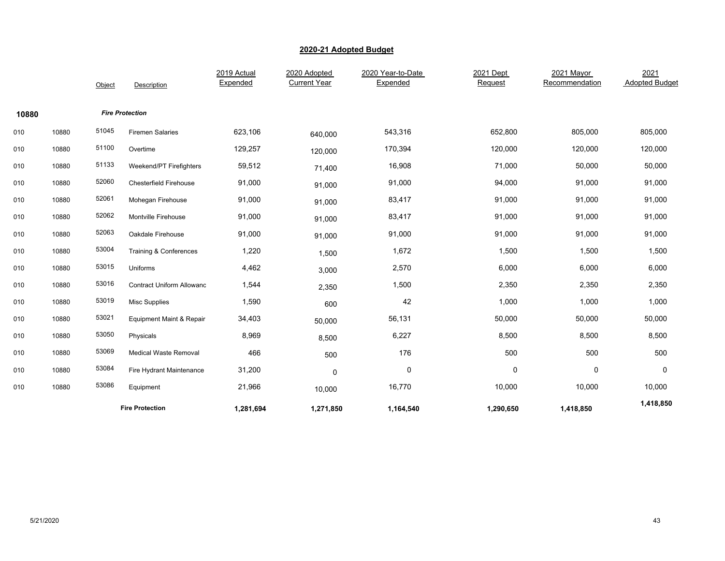|       |       | Object | Description                      | 2019 Actual<br>Expended | 2020 Adopted<br><b>Current Year</b> | 2020 Year-to-Date<br>Expended | 2021 Dept<br>Request | 2021 Mayor<br>Recommendation | 2021<br><b>Adopted Budget</b> |
|-------|-------|--------|----------------------------------|-------------------------|-------------------------------------|-------------------------------|----------------------|------------------------------|-------------------------------|
| 10880 |       |        | <b>Fire Protection</b>           |                         |                                     |                               |                      |                              |                               |
| 010   | 10880 | 51045  | <b>Firemen Salaries</b>          | 623,106                 | 640,000                             | 543,316                       | 652,800              | 805,000                      | 805,000                       |
| 010   | 10880 | 51100  | Overtime                         | 129,257                 | 120,000                             | 170,394                       | 120,000              | 120,000                      | 120,000                       |
| 010   | 10880 | 51133  | Weekend/PT Firefighters          | 59,512                  | 71,400                              | 16,908                        | 71,000               | 50,000                       | 50,000                        |
| 010   | 10880 | 52060  | <b>Chesterfield Firehouse</b>    | 91,000                  | 91,000                              | 91,000                        | 94,000               | 91,000                       | 91,000                        |
| 010   | 10880 | 52061  | Mohegan Firehouse                | 91,000                  | 91,000                              | 83,417                        | 91,000               | 91,000                       | 91,000                        |
| 010   | 10880 | 52062  | Montville Firehouse              | 91,000                  | 91,000                              | 83,417                        | 91,000               | 91,000                       | 91,000                        |
| 010   | 10880 | 52063  | Oakdale Firehouse                | 91,000                  | 91,000                              | 91,000                        | 91,000               | 91,000                       | 91,000                        |
| 010   | 10880 | 53004  | Training & Conferences           | 1,220                   | 1,500                               | 1,672                         | 1,500                | 1,500                        | 1,500                         |
| 010   | 10880 | 53015  | Uniforms                         | 4,462                   | 3,000                               | 2,570                         | 6,000                | 6,000                        | 6,000                         |
| 010   | 10880 | 53016  | <b>Contract Uniform Allowanc</b> | 1,544                   | 2,350                               | 1,500                         | 2,350                | 2,350                        | 2,350                         |
| 010   | 10880 | 53019  | Misc Supplies                    | 1,590                   | 600                                 | 42                            | 1,000                | 1,000                        | 1,000                         |
| 010   | 10880 | 53021  | Equipment Maint & Repair         | 34,403                  | 50,000                              | 56,131                        | 50,000               | 50,000                       | 50,000                        |
| 010   | 10880 | 53050  | Physicals                        | 8,969                   | 8,500                               | 6,227                         | 8,500                | 8,500                        | 8,500                         |
| 010   | 10880 | 53069  | <b>Medical Waste Removal</b>     | 466                     | 500                                 | 176                           | 500                  | 500                          | 500                           |
| 010   | 10880 | 53084  | Fire Hydrant Maintenance         | 31,200                  | $\pmb{0}$                           | $\pmb{0}$                     | $\pmb{0}$            | $\pmb{0}$                    | 0                             |
| 010   | 10880 | 53086  | Equipment                        | 21,966                  | 10,000                              | 16,770                        | 10,000               | 10,000                       | 10,000                        |
|       |       |        | <b>Fire Protection</b>           | 1,281,694               | 1,271,850                           | 1,164,540                     | 1,290,650            | 1,418,850                    | 1,418,850                     |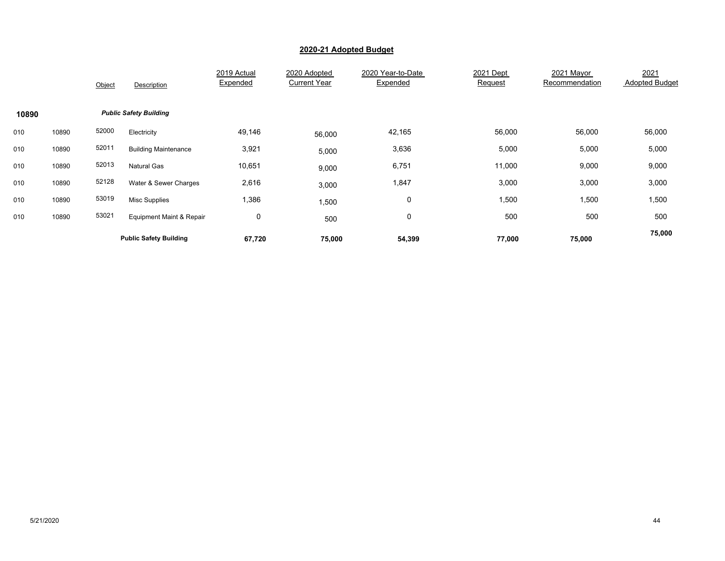|       |       | Object | Description                   | 2019 Actual<br>Expended | 2020 Adopted<br><b>Current Year</b> | 2020 Year-to-Date<br>Expended | 2021 Dept<br>Request | 2021 Mayor<br>Recommendation | 2021<br><b>Adopted Budget</b> |
|-------|-------|--------|-------------------------------|-------------------------|-------------------------------------|-------------------------------|----------------------|------------------------------|-------------------------------|
| 10890 |       |        | <b>Public Safety Building</b> |                         |                                     |                               |                      |                              |                               |
| 010   | 10890 | 52000  | Electricity                   | 49,146                  | 56,000                              | 42,165                        | 56,000               | 56,000                       | 56,000                        |
| 010   | 10890 | 52011  | <b>Building Maintenance</b>   | 3,921                   | 5,000                               | 3,636                         | 5,000                | 5,000                        | 5,000                         |
| 010   | 10890 | 52013  | <b>Natural Gas</b>            | 10,651                  | 9,000                               | 6,751                         | 11,000               | 9,000                        | 9,000                         |
| 010   | 10890 | 52128  | Water & Sewer Charges         | 2,616                   | 3,000                               | 1,847                         | 3,000                | 3,000                        | 3,000                         |
| 010   | 10890 | 53019  | <b>Misc Supplies</b>          | 1,386                   | 1,500                               | 0                             | 1,500                | 1,500                        | 1,500                         |
| 010   | 10890 | 53021  | Equipment Maint & Repair      | 0                       | 500                                 | 0                             | 500                  | 500                          | 500                           |
|       |       |        | <b>Public Safety Building</b> | 67,720                  | 75,000                              | 54,399                        | 77,000               | 75,000                       | 75,000                        |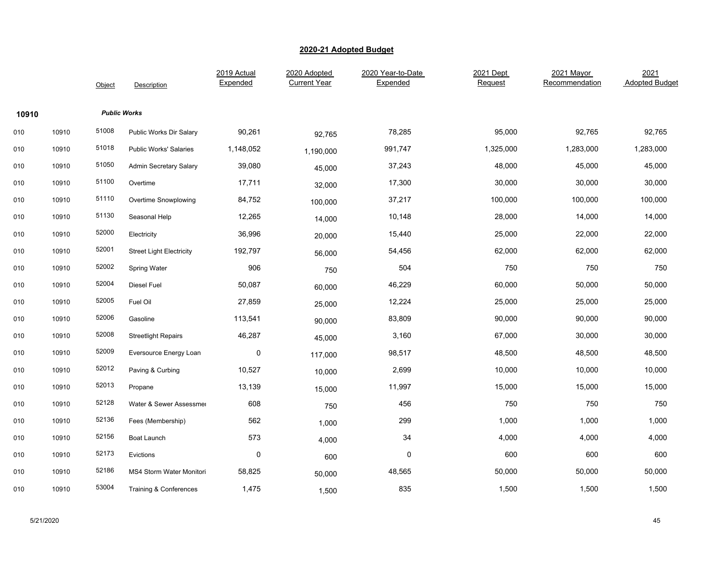|       |       | Object | Description                       | 2019 Actual<br>Expended | 2020 Adopted<br><b>Current Year</b> | 2020 Year-to-Date<br>Expended | 2021 Dept<br>Request | 2021 Mayor<br>Recommendation | 2021<br><b>Adopted Budget</b> |
|-------|-------|--------|-----------------------------------|-------------------------|-------------------------------------|-------------------------------|----------------------|------------------------------|-------------------------------|
| 10910 |       |        | <b>Public Works</b>               |                         |                                     |                               |                      |                              |                               |
| 010   | 10910 | 51008  | Public Works Dir Salary           | 90,261                  | 92,765                              | 78,285                        | 95,000               | 92,765                       | 92,765                        |
| 010   | 10910 | 51018  | <b>Public Works' Salaries</b>     | 1,148,052               | 1,190,000                           | 991,747                       | 1,325,000            | 1,283,000                    | 1,283,000                     |
| 010   | 10910 | 51050  | <b>Admin Secretary Salary</b>     | 39,080                  | 45,000                              | 37,243                        | 48,000               | 45,000                       | 45,000                        |
| 010   | 10910 | 51100  | Overtime                          | 17,711                  | 32,000                              | 17,300                        | 30,000               | 30,000                       | 30,000                        |
| 010   | 10910 | 51110  | Overtime Snowplowing              | 84,752                  | 100,000                             | 37,217                        | 100,000              | 100,000                      | 100,000                       |
| 010   | 10910 | 51130  | Seasonal Help                     | 12,265                  | 14,000                              | 10,148                        | 28,000               | 14,000                       | 14,000                        |
| 010   | 10910 | 52000  | Electricity                       | 36,996                  | 20,000                              | 15,440                        | 25,000               | 22,000                       | 22,000                        |
| 010   | 10910 | 52001  | <b>Street Light Electricity</b>   | 192,797                 | 56,000                              | 54,456                        | 62,000               | 62,000                       | 62,000                        |
| 010   | 10910 | 52002  | <b>Spring Water</b>               | 906                     | 750                                 | 504                           | 750                  | 750                          | 750                           |
| 010   | 10910 | 52004  | Diesel Fuel                       | 50,087                  | 60,000                              | 46,229                        | 60,000               | 50,000                       | 50,000                        |
| 010   | 10910 | 52005  | Fuel Oil                          | 27,859                  | 25,000                              | 12,224                        | 25,000               | 25,000                       | 25,000                        |
| 010   | 10910 | 52006  | Gasoline                          | 113,541                 | 90,000                              | 83,809                        | 90,000               | 90,000                       | 90,000                        |
| 010   | 10910 | 52008  | <b>Streetlight Repairs</b>        | 46,287                  | 45,000                              | 3,160                         | 67,000               | 30,000                       | 30,000                        |
| 010   | 10910 | 52009  | Eversource Energy Loan            | $\pmb{0}$               | 117,000                             | 98,517                        | 48,500               | 48,500                       | 48,500                        |
| 010   | 10910 | 52012  | Paving & Curbing                  | 10,527                  | 10,000                              | 2,699                         | 10,000               | 10,000                       | 10,000                        |
| 010   | 10910 | 52013  | Propane                           | 13,139                  | 15,000                              | 11,997                        | 15,000               | 15,000                       | 15,000                        |
| 010   | 10910 | 52128  | Water & Sewer Assessmer           | 608                     | 750                                 | 456                           | 750                  | 750                          | 750                           |
| 010   | 10910 | 52136  | Fees (Membership)                 | 562                     | 1,000                               | 299                           | 1,000                | 1,000                        | 1,000                         |
| 010   | 10910 | 52156  | Boat Launch                       | 573                     | 4,000                               | 34                            | 4,000                | 4,000                        | 4,000                         |
| 010   | 10910 | 52173  | Evictions                         | $\mathbf 0$             | 600                                 | 0                             | 600                  | 600                          | 600                           |
| 010   | 10910 | 52186  | MS4 Storm Water Monitori          | 58,825                  | 50,000                              | 48,565                        | 50,000               | 50,000                       | 50,000                        |
| 010   | 10910 | 53004  | <b>Training &amp; Conferences</b> | 1,475                   | 1,500                               | 835                           | 1,500                | 1,500                        | 1,500                         |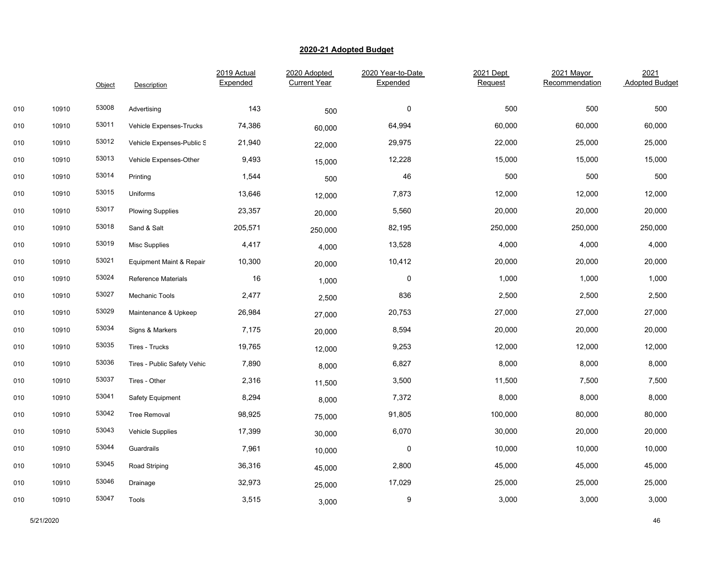|     |       | Object | Description                 | 2019 Actual<br>Expended | 2020 Adopted<br><b>Current Year</b> | 2020 Year-to-Date<br>Expended | 2021 Dept<br>Request | 2021 Mayor<br>Recommendation | 2021<br><b>Adopted Budget</b> |
|-----|-------|--------|-----------------------------|-------------------------|-------------------------------------|-------------------------------|----------------------|------------------------------|-------------------------------|
|     |       |        |                             |                         |                                     |                               |                      |                              |                               |
| 010 | 10910 | 53008  | Advertising                 | 143                     | 500                                 | 0                             | 500                  | 500                          | 500                           |
| 010 | 10910 | 53011  | Vehicle Expenses-Trucks     | 74,386                  | 60,000                              | 64,994                        | 60,000               | 60,000                       | 60,000                        |
| 010 | 10910 | 53012  | Vehicle Expenses-Public S   | 21,940                  | 22,000                              | 29,975                        | 22,000               | 25,000                       | 25,000                        |
| 010 | 10910 | 53013  | Vehicle Expenses-Other      | 9,493                   | 15,000                              | 12,228                        | 15,000               | 15,000                       | 15,000                        |
| 010 | 10910 | 53014  | Printing                    | 1,544                   | 500                                 | 46                            | 500                  | 500                          | 500                           |
| 010 | 10910 | 53015  | Uniforms                    | 13,646                  | 12,000                              | 7,873                         | 12,000               | 12,000                       | 12,000                        |
| 010 | 10910 | 53017  | <b>Plowing Supplies</b>     | 23,357                  | 20,000                              | 5,560                         | 20,000               | 20,000                       | 20,000                        |
| 010 | 10910 | 53018  | Sand & Salt                 | 205,571                 | 250,000                             | 82,195                        | 250,000              | 250,000                      | 250,000                       |
| 010 | 10910 | 53019  | Misc Supplies               | 4,417                   | 4,000                               | 13,528                        | 4,000                | 4,000                        | 4,000                         |
| 010 | 10910 | 53021  | Equipment Maint & Repair    | 10,300                  | 20,000                              | 10,412                        | 20,000               | 20,000                       | 20,000                        |
| 010 | 10910 | 53024  | <b>Reference Materials</b>  | 16                      | 1,000                               | 0                             | 1,000                | 1,000                        | 1,000                         |
| 010 | 10910 | 53027  | Mechanic Tools              | 2,477                   | 2,500                               | 836                           | 2,500                | 2,500                        | 2,500                         |
| 010 | 10910 | 53029  | Maintenance & Upkeep        | 26,984                  | 27,000                              | 20,753                        | 27,000               | 27,000                       | 27,000                        |
| 010 | 10910 | 53034  | Signs & Markers             | 7,175                   | 20,000                              | 8,594                         | 20,000               | 20,000                       | 20,000                        |
| 010 | 10910 | 53035  | Tires - Trucks              | 19,765                  | 12,000                              | 9,253                         | 12,000               | 12,000                       | 12,000                        |
| 010 | 10910 | 53036  | Tires - Public Safety Vehic | 7,890                   | 8,000                               | 6,827                         | 8,000                | 8,000                        | 8,000                         |
| 010 | 10910 | 53037  | Tires - Other               | 2,316                   | 11,500                              | 3,500                         | 11,500               | 7,500                        | 7,500                         |
| 010 | 10910 | 53041  | Safety Equipment            | 8,294                   | 8,000                               | 7,372                         | 8,000                | 8,000                        | 8,000                         |
| 010 | 10910 | 53042  | <b>Tree Removal</b>         | 98,925                  | 75,000                              | 91,805                        | 100,000              | 80,000                       | 80,000                        |
| 010 | 10910 | 53043  | Vehicle Supplies            | 17,399                  | 30,000                              | 6,070                         | 30,000               | 20,000                       | 20,000                        |
| 010 | 10910 | 53044  | Guardrails                  | 7,961                   | 10,000                              | $\pmb{0}$                     | 10,000               | 10,000                       | 10,000                        |
| 010 | 10910 | 53045  | Road Striping               | 36,316                  | 45,000                              | 2,800                         | 45,000               | 45,000                       | 45,000                        |
| 010 | 10910 | 53046  | Drainage                    | 32,973                  | 25,000                              | 17,029                        | 25,000               | 25,000                       | 25,000                        |
| 010 | 10910 | 53047  | Tools                       | 3,515                   | 3,000                               | 9                             | 3,000                | 3,000                        | 3,000                         |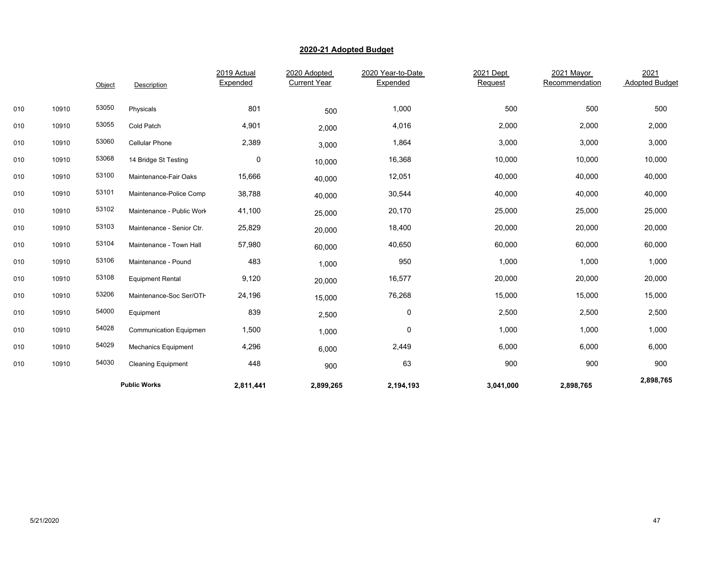|     |       | Object | Description                    | 2019 Actual<br>Expended | 2020 Adopted<br><b>Current Year</b> | 2020 Year-to-Date<br>Expended | 2021 Dept<br>Request | 2021 Mayor<br>Recommendation | 2021<br><b>Adopted Budget</b> |
|-----|-------|--------|--------------------------------|-------------------------|-------------------------------------|-------------------------------|----------------------|------------------------------|-------------------------------|
| 010 | 10910 | 53050  | Physicals                      | 801                     | 500                                 | 1,000                         | 500                  | 500                          | 500                           |
| 010 | 10910 | 53055  | Cold Patch                     | 4,901                   | 2,000                               | 4,016                         | 2,000                | 2,000                        | 2,000                         |
| 010 | 10910 | 53060  | <b>Cellular Phone</b>          | 2,389                   | 3,000                               | 1,864                         | 3,000                | 3,000                        | 3,000                         |
| 010 | 10910 | 53068  | 14 Bridge St Testing           | 0                       | 10,000                              | 16,368                        | 10,000               | 10,000                       | 10,000                        |
| 010 | 10910 | 53100  | Maintenance-Fair Oaks          | 15,666                  | 40,000                              | 12,051                        | 40,000               | 40,000                       | 40,000                        |
| 010 | 10910 | 53101  | Maintenance-Police Comp        | 38,788                  | 40,000                              | 30,544                        | 40,000               | 40,000                       | 40,000                        |
| 010 | 10910 | 53102  | Maintenance - Public Work      | 41,100                  | 25,000                              | 20,170                        | 25,000               | 25,000                       | 25,000                        |
| 010 | 10910 | 53103  | Maintenance - Senior Ctr.      | 25,829                  | 20,000                              | 18,400                        | 20,000               | 20,000                       | 20,000                        |
| 010 | 10910 | 53104  | Maintenance - Town Hall        | 57,980                  | 60,000                              | 40,650                        | 60,000               | 60,000                       | 60,000                        |
| 010 | 10910 | 53106  | Maintenance - Pound            | 483                     | 1,000                               | 950                           | 1,000                | 1,000                        | 1,000                         |
| 010 | 10910 | 53108  | <b>Equipment Rental</b>        | 9,120                   | 20,000                              | 16,577                        | 20,000               | 20,000                       | 20,000                        |
| 010 | 10910 | 53206  | Maintenance-Soc Ser/OTH        | 24,196                  | 15,000                              | 76,268                        | 15,000               | 15,000                       | 15,000                        |
| 010 | 10910 | 54000  | Equipment                      | 839                     | 2,500                               | 0                             | 2,500                | 2,500                        | 2,500                         |
| 010 | 10910 | 54028  | <b>Communication Equipment</b> | 1,500                   | 1,000                               | 0                             | 1,000                | 1,000                        | 1,000                         |
| 010 | 10910 | 54029  | <b>Mechanics Equipment</b>     | 4,296                   | 6,000                               | 2,449                         | 6,000                | 6,000                        | 6,000                         |
| 010 | 10910 | 54030  | <b>Cleaning Equipment</b>      | 448                     | 900                                 | 63                            | 900                  | 900                          | 900                           |
|     |       |        | <b>Public Works</b>            | 2,811,441               | 2,899,265                           | 2,194,193                     | 3,041,000            | 2,898,765                    | 2,898,765                     |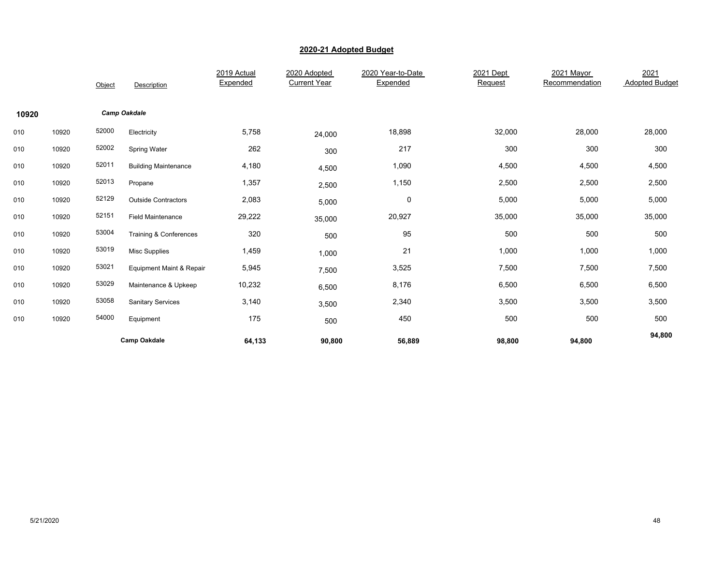|       |       | Object | Description                 | 2019 Actual<br>Expended | 2020 Adopted<br><b>Current Year</b> | 2020 Year-to-Date<br>Expended | 2021 Dept<br>Request | 2021 Mayor<br>Recommendation | 2021<br><b>Adopted Budget</b> |
|-------|-------|--------|-----------------------------|-------------------------|-------------------------------------|-------------------------------|----------------------|------------------------------|-------------------------------|
| 10920 |       |        | <b>Camp Oakdale</b>         |                         |                                     |                               |                      |                              |                               |
| 010   | 10920 | 52000  | Electricity                 | 5,758                   | 24,000                              | 18,898                        | 32,000               | 28,000                       | 28,000                        |
| 010   | 10920 | 52002  | <b>Spring Water</b>         | 262                     | 300                                 | 217                           | 300                  | 300                          | 300                           |
| 010   | 10920 | 52011  | <b>Building Maintenance</b> | 4,180                   | 4,500                               | 1,090                         | 4,500                | 4,500                        | 4,500                         |
| 010   | 10920 | 52013  | Propane                     | 1,357                   | 2,500                               | 1,150                         | 2,500                | 2,500                        | 2,500                         |
| 010   | 10920 | 52129  | <b>Outside Contractors</b>  | 2,083                   | 5,000                               | 0                             | 5,000                | 5,000                        | 5,000                         |
| 010   | 10920 | 52151  | <b>Field Maintenance</b>    | 29,222                  | 35,000                              | 20,927                        | 35,000               | 35,000                       | 35,000                        |
| 010   | 10920 | 53004  | Training & Conferences      | 320                     | 500                                 | 95                            | 500                  | 500                          | 500                           |
| 010   | 10920 | 53019  | <b>Misc Supplies</b>        | 1,459                   | 1,000                               | 21                            | 1,000                | 1,000                        | 1,000                         |
| 010   | 10920 | 53021  | Equipment Maint & Repair    | 5,945                   | 7,500                               | 3,525                         | 7,500                | 7,500                        | 7,500                         |
| 010   | 10920 | 53029  | Maintenance & Upkeep        | 10,232                  | 6,500                               | 8,176                         | 6,500                | 6,500                        | 6,500                         |
| 010   | 10920 | 53058  | <b>Sanitary Services</b>    | 3,140                   | 3,500                               | 2,340                         | 3,500                | 3,500                        | 3,500                         |
| 010   | 10920 | 54000  | Equipment                   | 175                     | 500                                 | 450                           | 500                  | 500                          | 500                           |
|       |       |        | <b>Camp Oakdale</b>         | 64,133                  | 90,800                              | 56,889                        | 98,800               | 94,800                       | 94,800                        |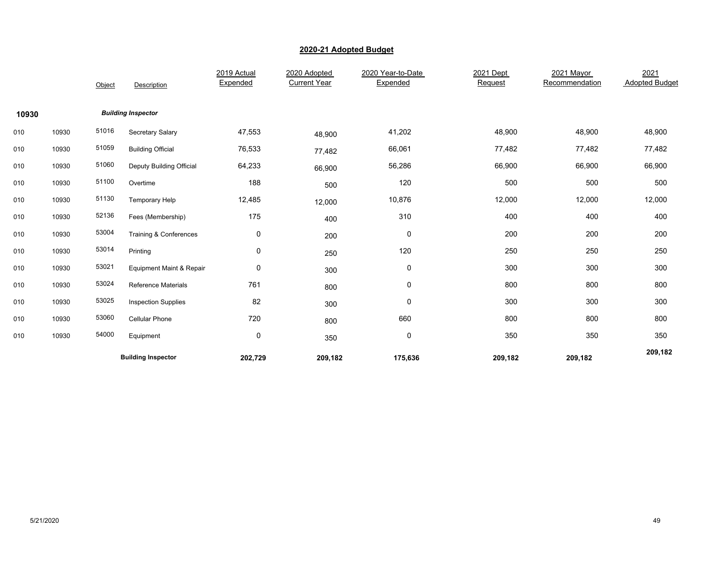|       |       | Object | Description                | 2019 Actual<br>Expended | 2020 Adopted<br><b>Current Year</b> | 2020 Year-to-Date<br>Expended | 2021 Dept<br>Request | 2021 Mayor<br>Recommendation | 2021<br><b>Adopted Budget</b> |
|-------|-------|--------|----------------------------|-------------------------|-------------------------------------|-------------------------------|----------------------|------------------------------|-------------------------------|
| 10930 |       |        | <b>Building Inspector</b>  |                         |                                     |                               |                      |                              |                               |
| 010   | 10930 | 51016  | Secretary Salary           | 47,553                  | 48,900                              | 41,202                        | 48,900               | 48,900                       | 48,900                        |
| 010   | 10930 | 51059  | <b>Building Official</b>   | 76,533                  | 77,482                              | 66,061                        | 77,482               | 77,482                       | 77,482                        |
| 010   | 10930 | 51060  | Deputy Building Official   | 64,233                  | 66,900                              | 56,286                        | 66,900               | 66,900                       | 66,900                        |
| 010   | 10930 | 51100  | Overtime                   | 188                     | 500                                 | 120                           | 500                  | 500                          | 500                           |
| 010   | 10930 | 51130  | Temporary Help             | 12,485                  | 12,000                              | 10,876                        | 12,000               | 12,000                       | 12,000                        |
| 010   | 10930 | 52136  | Fees (Membership)          | 175                     | 400                                 | 310                           | 400                  | 400                          | 400                           |
| 010   | 10930 | 53004  | Training & Conferences     | $\mathbf 0$             | 200                                 | 0                             | 200                  | 200                          | 200                           |
| 010   | 10930 | 53014  | Printing                   | $\mathbf 0$             | 250                                 | 120                           | 250                  | 250                          | 250                           |
| 010   | 10930 | 53021  | Equipment Maint & Repair   | $\mathbf 0$             | 300                                 | 0                             | 300                  | 300                          | 300                           |
| 010   | 10930 | 53024  | <b>Reference Materials</b> | 761                     | 800                                 | 0                             | 800                  | 800                          | 800                           |
| 010   | 10930 | 53025  | <b>Inspection Supplies</b> | 82                      | 300                                 | 0                             | 300                  | 300                          | 300                           |
| 010   | 10930 | 53060  | Cellular Phone             | 720                     | 800                                 | 660                           | 800                  | 800                          | 800                           |
| 010   | 10930 | 54000  | Equipment                  | $\mathbf 0$             | 350                                 | 0                             | 350                  | 350                          | 350                           |
|       |       |        | <b>Building Inspector</b>  | 202,729                 | 209,182                             | 175,636                       | 209,182              | 209,182                      | 209,182                       |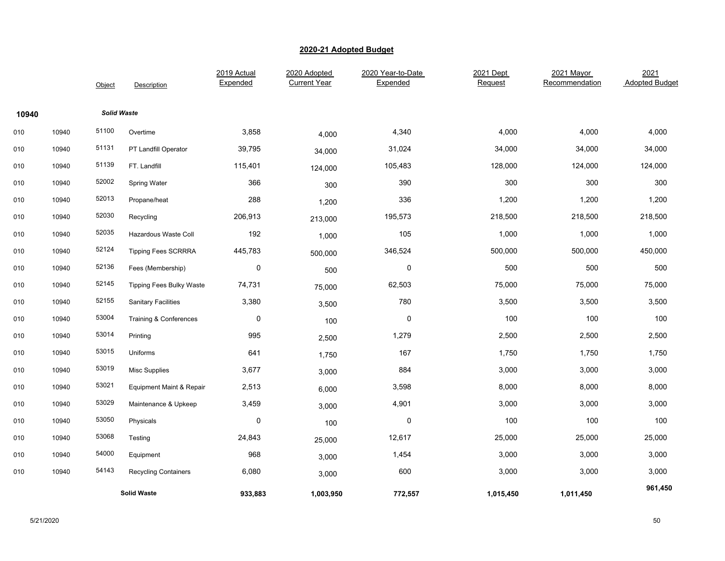|       |                    | Object             | Description                     | 2019 Actual<br>Expended | 2020 Adopted<br><b>Current Year</b> | 2020 Year-to-Date<br>Expended | 2021 Dept<br>Request | 2021 Mayor<br>Recommendation | 2021<br><b>Adopted Budget</b> |
|-------|--------------------|--------------------|---------------------------------|-------------------------|-------------------------------------|-------------------------------|----------------------|------------------------------|-------------------------------|
| 10940 |                    | <b>Solid Waste</b> |                                 |                         |                                     |                               |                      |                              |                               |
| 010   | 10940              | 51100              | Overtime                        | 3,858                   | 4,000                               | 4,340                         | 4,000                | 4,000                        | 4,000                         |
| 010   | 10940              | 51131              | PT Landfill Operator            | 39,795                  | 34,000                              | 31,024                        | 34,000               | 34,000                       | 34,000                        |
| 010   | 10940              | 51139              | FT. Landfill                    | 115,401                 | 124,000                             | 105,483                       | 128,000              | 124,000                      | 124,000                       |
| 010   | 10940              | 52002              | Spring Water                    | 366                     | 300                                 | 390                           | 300                  | 300                          | 300                           |
| 010   | 10940              | 52013              | Propane/heat                    | 288                     | 1,200                               | 336                           | 1,200                | 1,200                        | 1,200                         |
| 010   | 10940              | 52030              | Recycling                       | 206,913                 | 213,000                             | 195,573                       | 218,500              | 218,500                      | 218,500                       |
| 010   | 10940              | 52035              | Hazardous Waste Coll            | 192                     | 1,000                               | 105                           | 1,000                | 1,000                        | 1,000                         |
| 010   | 10940              | 52124              | <b>Tipping Fees SCRRRA</b>      | 445,783                 | 500,000                             | 346,524                       | 500,000              | 500,000                      | 450,000                       |
| 010   | 10940              | 52136              | Fees (Membership)               | $\pmb{0}$               | 500                                 | $\mathbf 0$                   | 500                  | 500                          | 500                           |
| 010   | 10940              | 52145              | <b>Tipping Fees Bulky Waste</b> | 74,731                  | 75,000                              | 62,503                        | 75,000               | 75,000                       | 75,000                        |
| 010   | 10940              | 52155              | <b>Sanitary Facilities</b>      | 3,380                   | 3,500                               | 780                           | 3,500                | 3,500                        | 3,500                         |
| 010   | 10940              | 53004              | Training & Conferences          | $\pmb{0}$               | 100                                 | $\pmb{0}$                     | 100                  | 100                          | 100                           |
| 010   | 10940              | 53014              | Printing                        | 995                     | 2,500                               | 1,279                         | 2,500                | 2,500                        | 2,500                         |
| 010   | 10940              | 53015              | Uniforms                        | 641                     | 1,750                               | 167                           | 1,750                | 1,750                        | 1,750                         |
| 010   | 10940              | 53019              | Misc Supplies                   | 3,677                   | 3,000                               | 884                           | 3,000                | 3,000                        | 3,000                         |
| 010   | 10940              | 53021              | Equipment Maint & Repair        | 2,513                   | 6,000                               | 3,598                         | 8,000                | 8,000                        | 8,000                         |
| 010   | 10940              | 53029              | Maintenance & Upkeep            | 3,459                   | 3,000                               | 4,901                         | 3,000                | 3,000                        | 3,000                         |
| 010   | 10940              | 53050              | Physicals                       | $\mathbf 0$             | 100                                 | $\pmb{0}$                     | 100                  | 100                          | 100                           |
| 010   | 10940              | 53068              | Testing                         | 24,843                  | 25,000                              | 12,617                        | 25,000               | 25,000                       | 25,000                        |
| 010   | 10940              | 54000              | Equipment                       | 968                     | 3,000                               | 1,454                         | 3,000                | 3,000                        | 3,000                         |
| 010   | 10940              | 54143              | <b>Recycling Containers</b>     | 6,080                   | 3,000                               | 600                           | 3,000                | 3,000                        | 3,000                         |
|       | <b>Solid Waste</b> |                    | 933,883                         | 1,003,950               | 772,557                             | 1,015,450                     | 1,011,450            | 961,450                      |                               |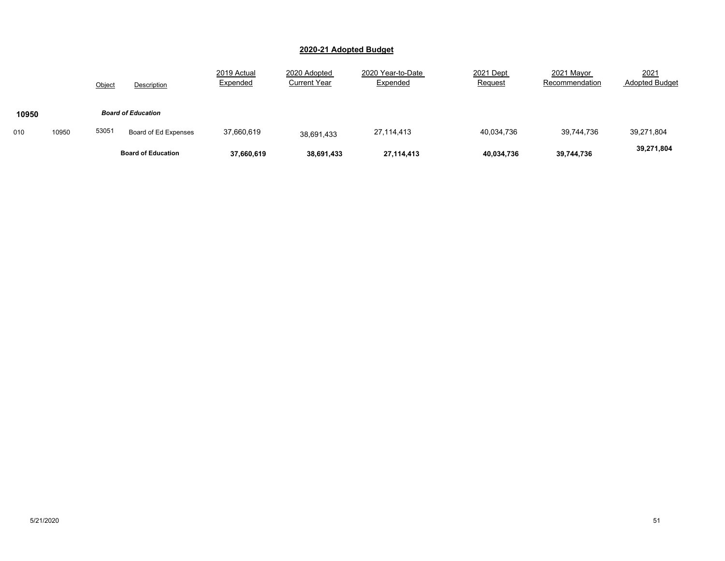|       |       |        | <b>Board of Education</b> | 37,660,619              | 38,691,433                          | 27,114,413                    | 40,034,736           | 39,744,736                   | 39,271,804                    |
|-------|-------|--------|---------------------------|-------------------------|-------------------------------------|-------------------------------|----------------------|------------------------------|-------------------------------|
| 010   | 10950 | 53051  | Board of Ed Expenses      | 37,660,619              | 38,691,433                          | 27,114,413                    | 40,034,736           | 39,744,736                   | 39,271,804                    |
| 10950 |       |        | <b>Board of Education</b> |                         |                                     |                               |                      |                              |                               |
|       |       | Object | Description               | 2019 Actual<br>Expended | 2020 Adopted<br><b>Current Year</b> | 2020 Year-to-Date<br>Expended | 2021 Dept<br>Request | 2021 Mayor<br>Recommendation | 2021<br><b>Adopted Budget</b> |